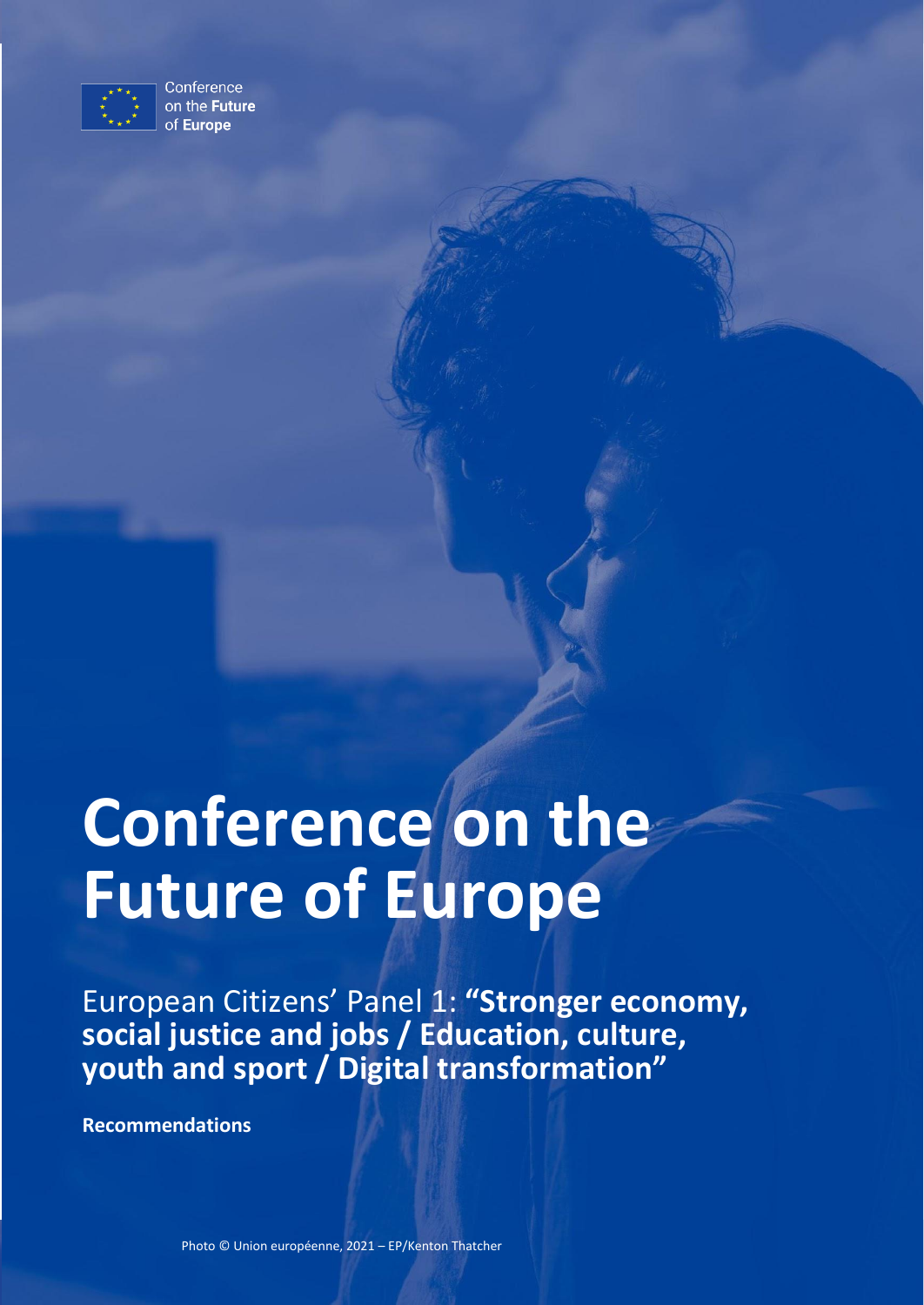

Conference on the Future of Europe

# **Conference on the Future of Europe**

European Citizens' Panel 1: **"Stronger economy, social justice and jobs / Education, culture, youth and sport / Digital transformation"**

**Recommendations**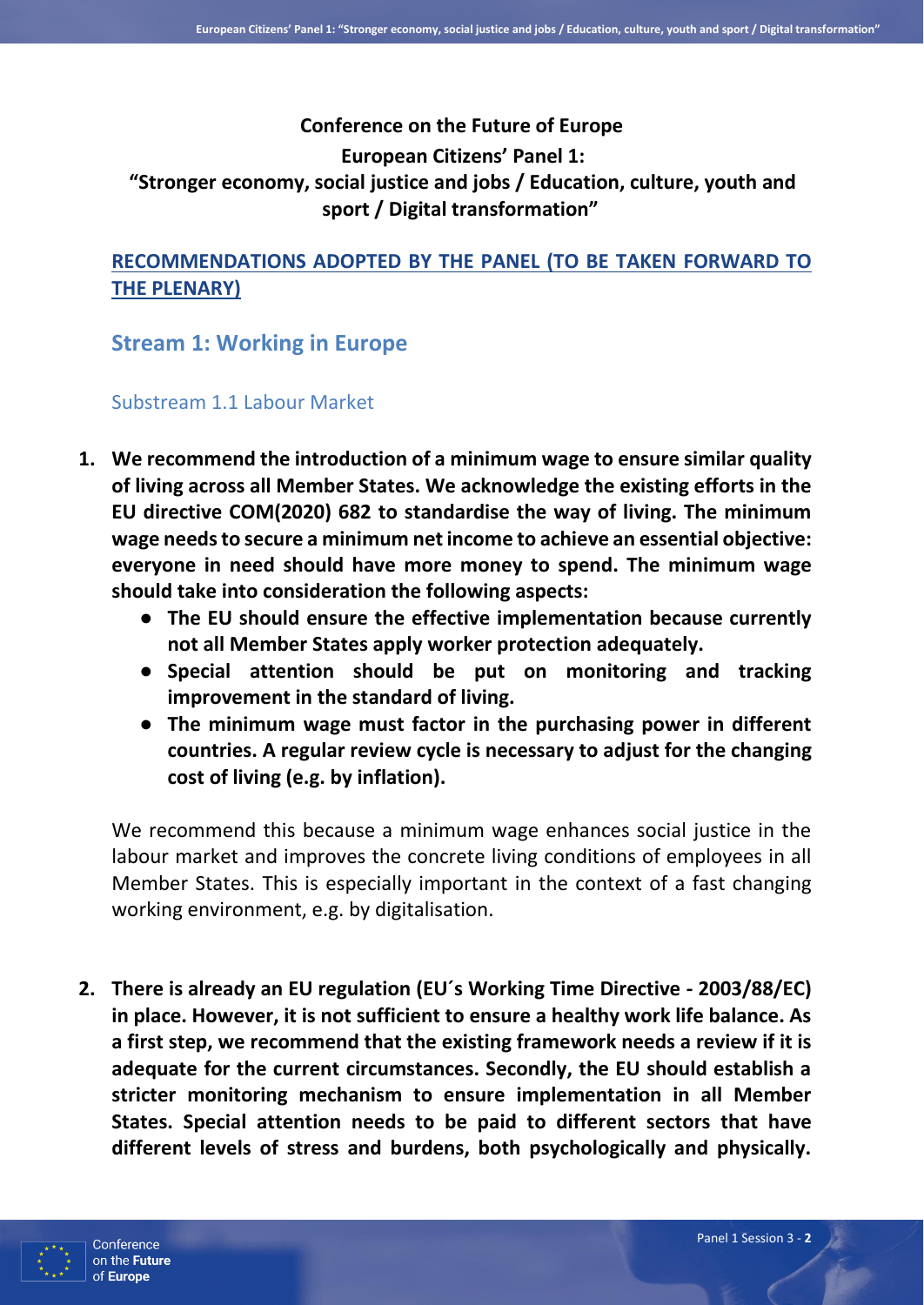## **Conference on the Future of Europe**

#### **European Citizens' Panel 1:**

## **"Stronger economy, social justice and jobs / Education, culture, youth and sport / Digital transformation"**

## **RECOMMENDATIONS ADOPTED BY THE PANEL (TO BE TAKEN FORWARD TO THE PLENARY)**

**Stream 1: Working in Europe**

## Substream 1.1 Labour Market

- **1. We recommend the introduction of a minimum wage to ensure similar quality of living across all Member States. We acknowledge the existing efforts in the EU directive COM(2020) 682 to standardise the way of living. The minimum wage needs to secure a minimum net income to achieve an essential objective: everyone in need should have more money to spend. The minimum wage should take into consideration the following aspects:** 
	- **The EU should ensure the effective implementation because currently not all Member States apply worker protection adequately.**
	- **Special attention should be put on monitoring and tracking improvement in the standard of living.**
	- **The minimum wage must factor in the purchasing power in different countries. A regular review cycle is necessary to adjust for the changing cost of living (e.g. by inflation).**

We recommend this because a minimum wage enhances social justice in the labour market and improves the concrete living conditions of employees in all Member States. This is especially important in the context of a fast changing working environment, e.g. by digitalisation.

**2. There is already an EU regulation (EU´s Working Time Directive - 2003/88/EC) in place. However, it is not sufficient to ensure a healthy work life balance. As a first step, we recommend that the existing framework needs a review if it is adequate for the current circumstances. Secondly, the EU should establish a stricter monitoring mechanism to ensure implementation in all Member States. Special attention needs to be paid to different sectors that have different levels of stress and burdens, both psychologically and physically.** 

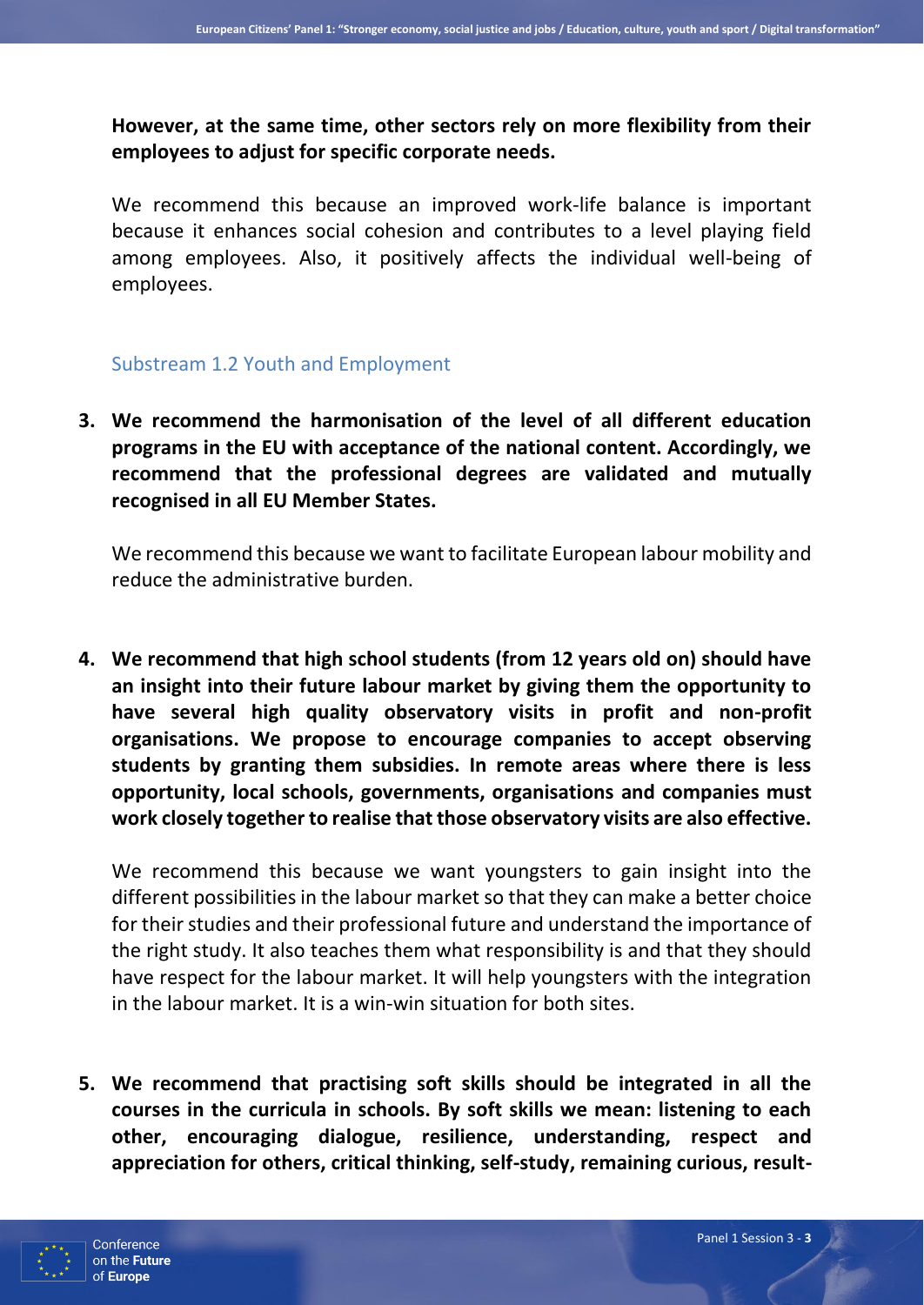**However, at the same time, other sectors rely on more flexibility from their employees to adjust for specific corporate needs.**

We recommend this because an improved work-life balance is important because it enhances social cohesion and contributes to a level playing field among employees. Also, it positively affects the individual well-being of employees.

#### Substream 1.2 Youth and Employment

**3. We recommend the harmonisation of the level of all different education programs in the EU with acceptance of the national content. Accordingly, we recommend that the professional degrees are validated and mutually recognised in all EU Member States.**

We recommend this because we want to facilitate European labour mobility and reduce the administrative burden.

**4. We recommend that high school students (from 12 years old on) should have an insight into their future labour market by giving them the opportunity to have several high quality observatory visits in profit and non-profit organisations. We propose to encourage companies to accept observing students by granting them subsidies. In remote areas where there is less opportunity, local schools, governments, organisations and companies must work closely together to realise that those observatory visits are also effective.**

We recommend this because we want youngsters to gain insight into the different possibilities in the labour market so that they can make a better choice for their studies and their professional future and understand the importance of the right study. It also teaches them what responsibility is and that they should have respect for the labour market. It will help youngsters with the integration in the labour market. It is a win-win situation for both sites.

**5. We recommend that practising soft skills should be integrated in all the courses in the curricula in schools. By soft skills we mean: listening to each other, encouraging dialogue, resilience, understanding, respect and appreciation for others, critical thinking, self-study, remaining curious, result-**

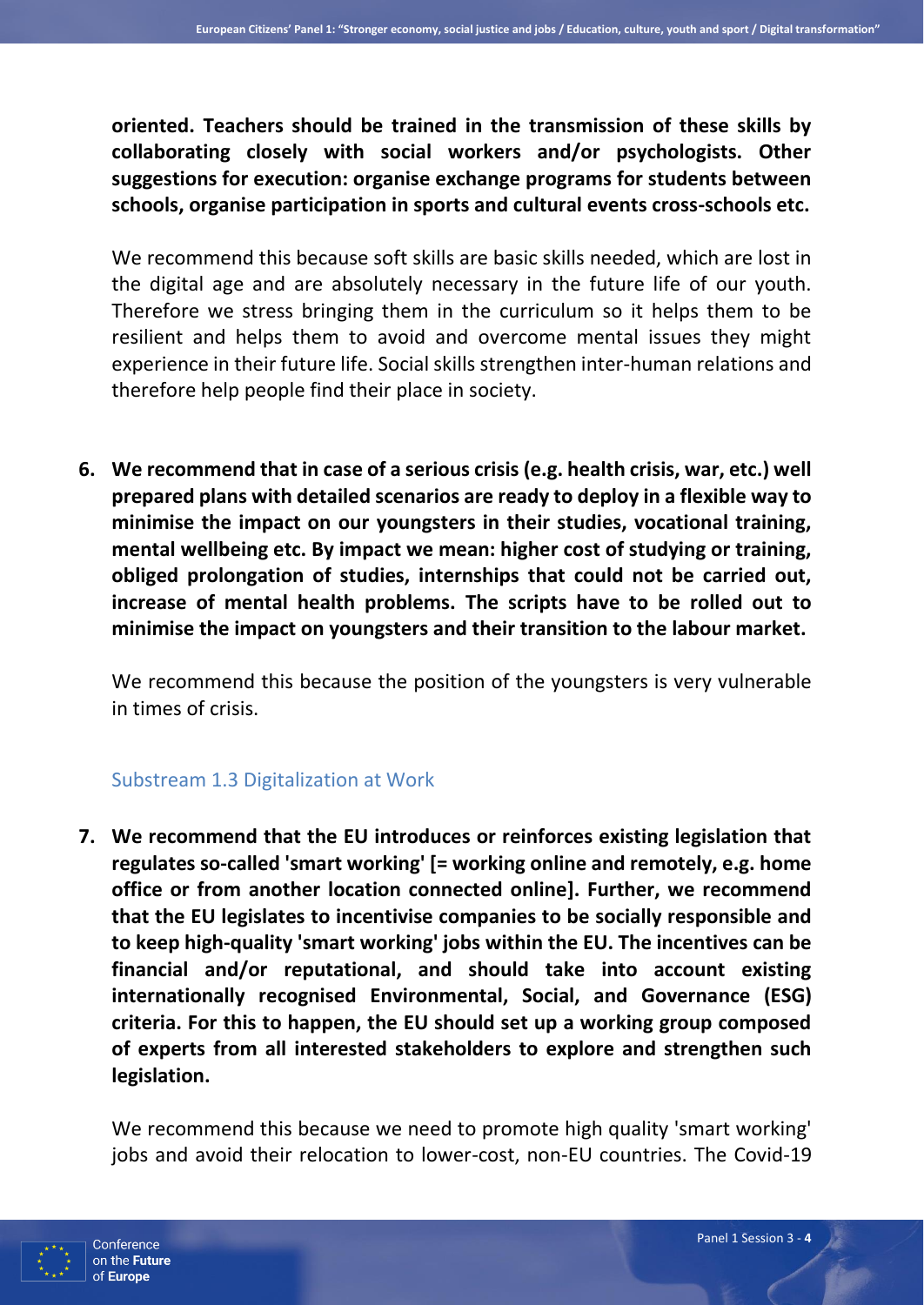**oriented. Teachers should be trained in the transmission of these skills by collaborating closely with social workers and/or psychologists. Other suggestions for execution: organise exchange programs for students between schools, organise participation in sports and cultural events cross-schools etc.**

We recommend this because soft skills are basic skills needed, which are lost in the digital age and are absolutely necessary in the future life of our youth. Therefore we stress bringing them in the curriculum so it helps them to be resilient and helps them to avoid and overcome mental issues they might experience in their future life. Social skills strengthen inter-human relations and therefore help people find their place in society.

**6. We recommend that in case of a serious crisis (e.g. health crisis, war, etc.) well prepared plans with detailed scenarios are ready to deploy in a flexible way to minimise the impact on our youngsters in their studies, vocational training, mental wellbeing etc. By impact we mean: higher cost of studying or training, obliged prolongation of studies, internships that could not be carried out, increase of mental health problems. The scripts have to be rolled out to minimise the impact on youngsters and their transition to the labour market.**

We recommend this because the position of the youngsters is very vulnerable in times of crisis.

#### Substream 1.3 Digitalization at Work

**7. We recommend that the EU introduces or reinforces existing legislation that regulates so-called 'smart working' [= working online and remotely, e.g. home office or from another location connected online]. Further, we recommend that the EU legislates to incentivise companies to be socially responsible and to keep high-quality 'smart working' jobs within the EU. The incentives can be financial and/or reputational, and should take into account existing internationally recognised Environmental, Social, and Governance (ESG) criteria. For this to happen, the EU should set up a working group composed of experts from all interested stakeholders to explore and strengthen such legislation.**

We recommend this because we need to promote high quality 'smart working' jobs and avoid their relocation to lower-cost, non-EU countries. The Covid-19

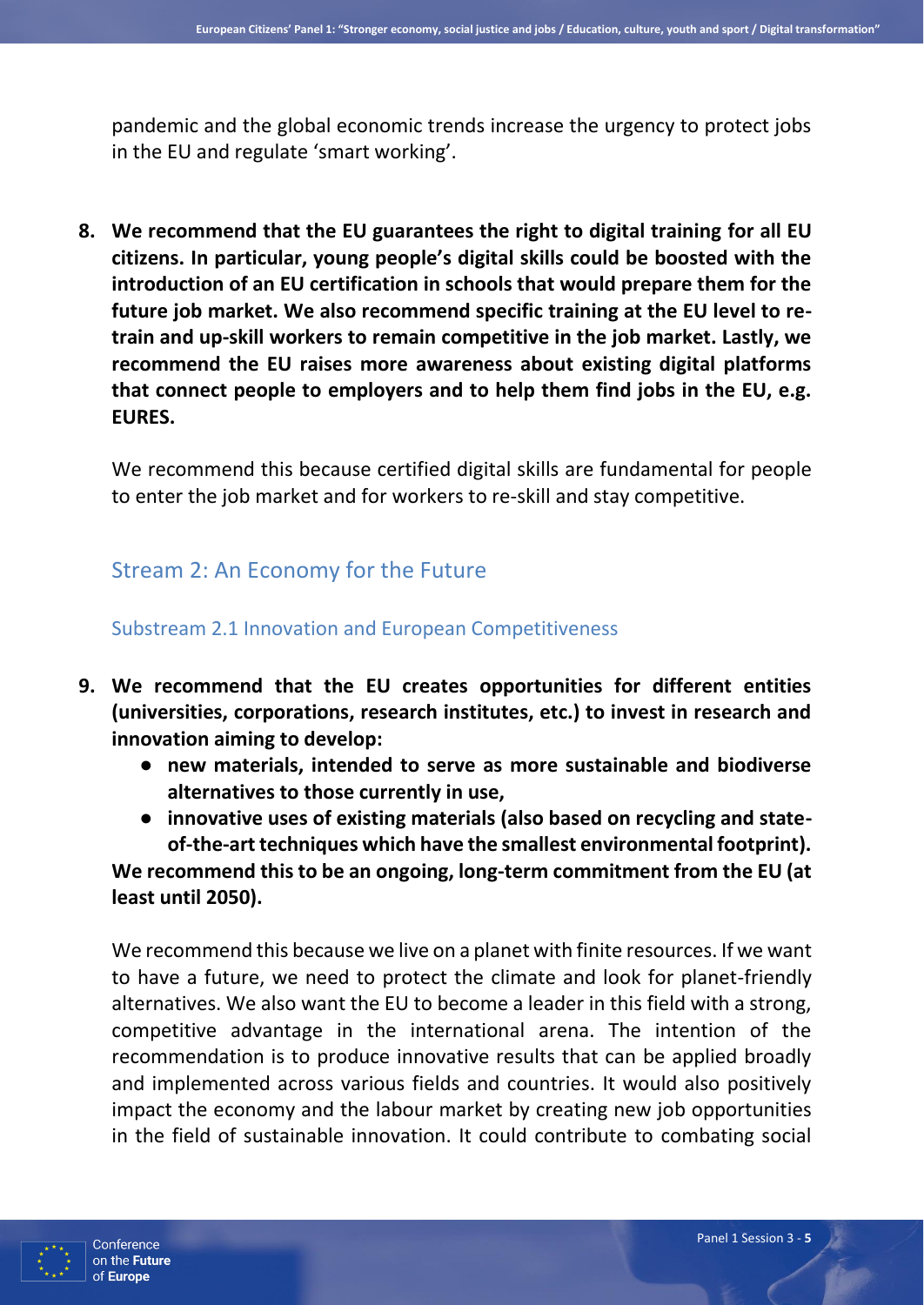pandemic and the global economic trends increase the urgency to protect jobs in the EU and regulate 'smart working'.

**8. We recommend that the EU guarantees the right to digital training for all EU citizens. In particular, young people's digital skills could be boosted with the introduction of an EU certification in schools that would prepare them for the future job market. We also recommend specific training at the EU level to retrain and up-skill workers to remain competitive in the job market. Lastly, we recommend the EU raises more awareness about existing digital platforms that connect people to employers and to help them find jobs in the EU, e.g. EURES.**

We recommend this because certified digital skills are fundamental for people to enter the job market and for workers to re-skill and stay competitive.

# Stream 2: An Economy for the Future

#### Substream 2.1 Innovation and European Competitiveness

- **9. We recommend that the EU creates opportunities for different entities (universities, corporations, research institutes, etc.) to invest in research and innovation aiming to develop:** 
	- **new materials, intended to serve as more sustainable and biodiverse alternatives to those currently in use,**
	- **innovative uses of existing materials (also based on recycling and stateof-the-art techniques which have the smallest environmental footprint). We recommend this to be an ongoing, long-term commitment from the EU (at**

**least until 2050).** 

We recommend this because we live on a planet with finite resources. If we want to have a future, we need to protect the climate and look for planet-friendly alternatives. We also want the EU to become a leader in this field with a strong, competitive advantage in the international arena. The intention of the recommendation is to produce innovative results that can be applied broadly and implemented across various fields and countries. It would also positively impact the economy and the labour market by creating new job opportunities in the field of sustainable innovation. It could contribute to combating social

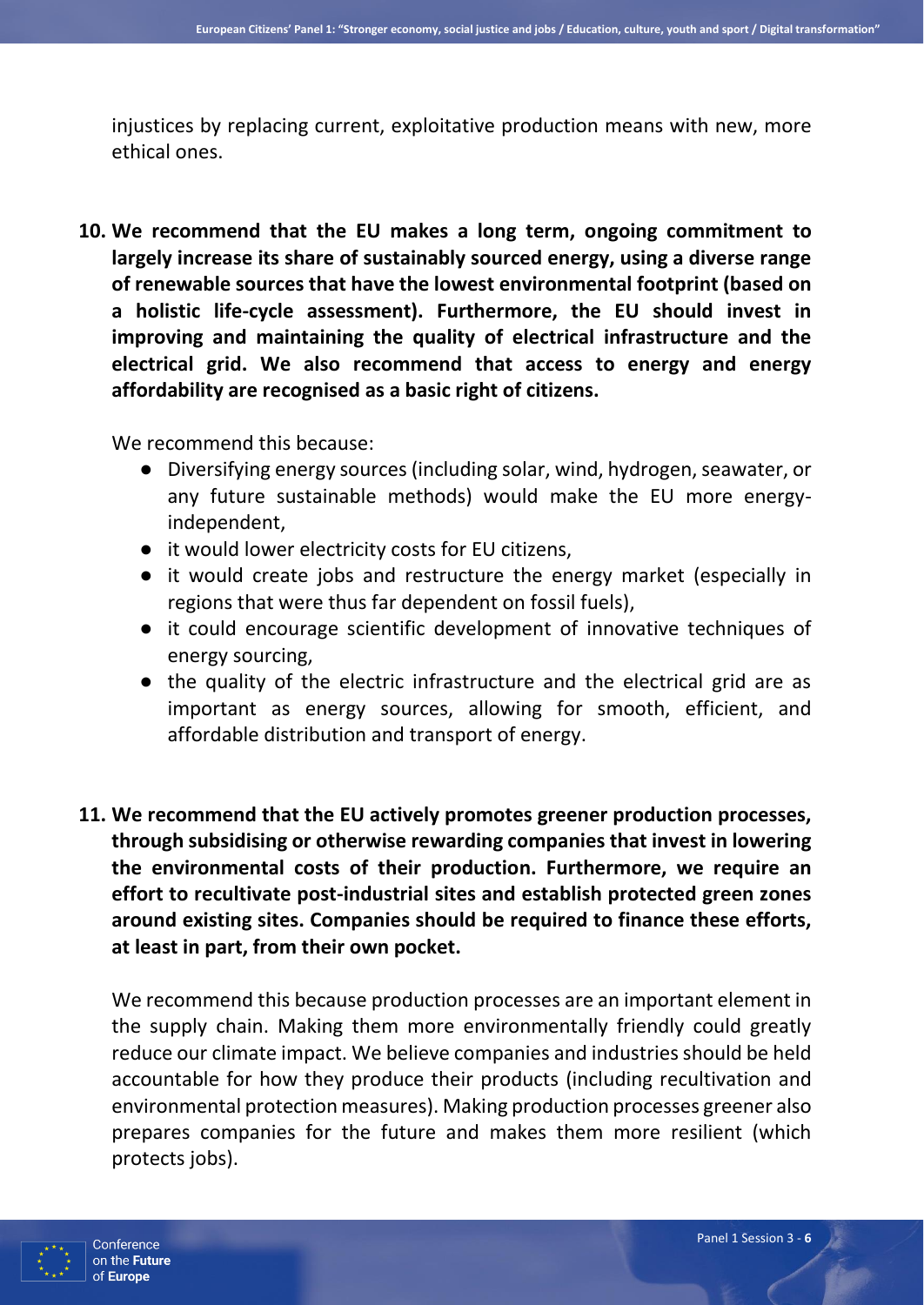injustices by replacing current, exploitative production means with new, more ethical ones.

**10. We recommend that the EU makes a long term, ongoing commitment to largely increase its share of sustainably sourced energy, using a diverse range of renewable sources that have the lowest environmental footprint (based on a holistic life-cycle assessment). Furthermore, the EU should invest in improving and maintaining the quality of electrical infrastructure and the electrical grid. We also recommend that access to energy and energy affordability are recognised as a basic right of citizens.**

We recommend this because:

- Diversifying energy sources (including solar, wind, hydrogen, seawater, or any future sustainable methods) would make the EU more energyindependent,
- it would lower electricity costs for EU citizens,
- it would create jobs and restructure the energy market (especially in regions that were thus far dependent on fossil fuels),
- it could encourage scientific development of innovative techniques of energy sourcing,
- the quality of the electric infrastructure and the electrical grid are as important as energy sources, allowing for smooth, efficient, and affordable distribution and transport of energy.
- **11. We recommend that the EU actively promotes greener production processes, through subsidising or otherwise rewarding companies that invest in lowering the environmental costs of their production. Furthermore, we require an effort to recultivate post-industrial sites and establish protected green zones around existing sites. Companies should be required to finance these efforts, at least in part, from their own pocket.**

We recommend this because production processes are an important element in the supply chain. Making them more environmentally friendly could greatly reduce our climate impact. We believe companies and industries should be held accountable for how they produce their products (including recultivation and environmental protection measures). Making production processes greener also prepares companies for the future and makes them more resilient (which protects jobs).

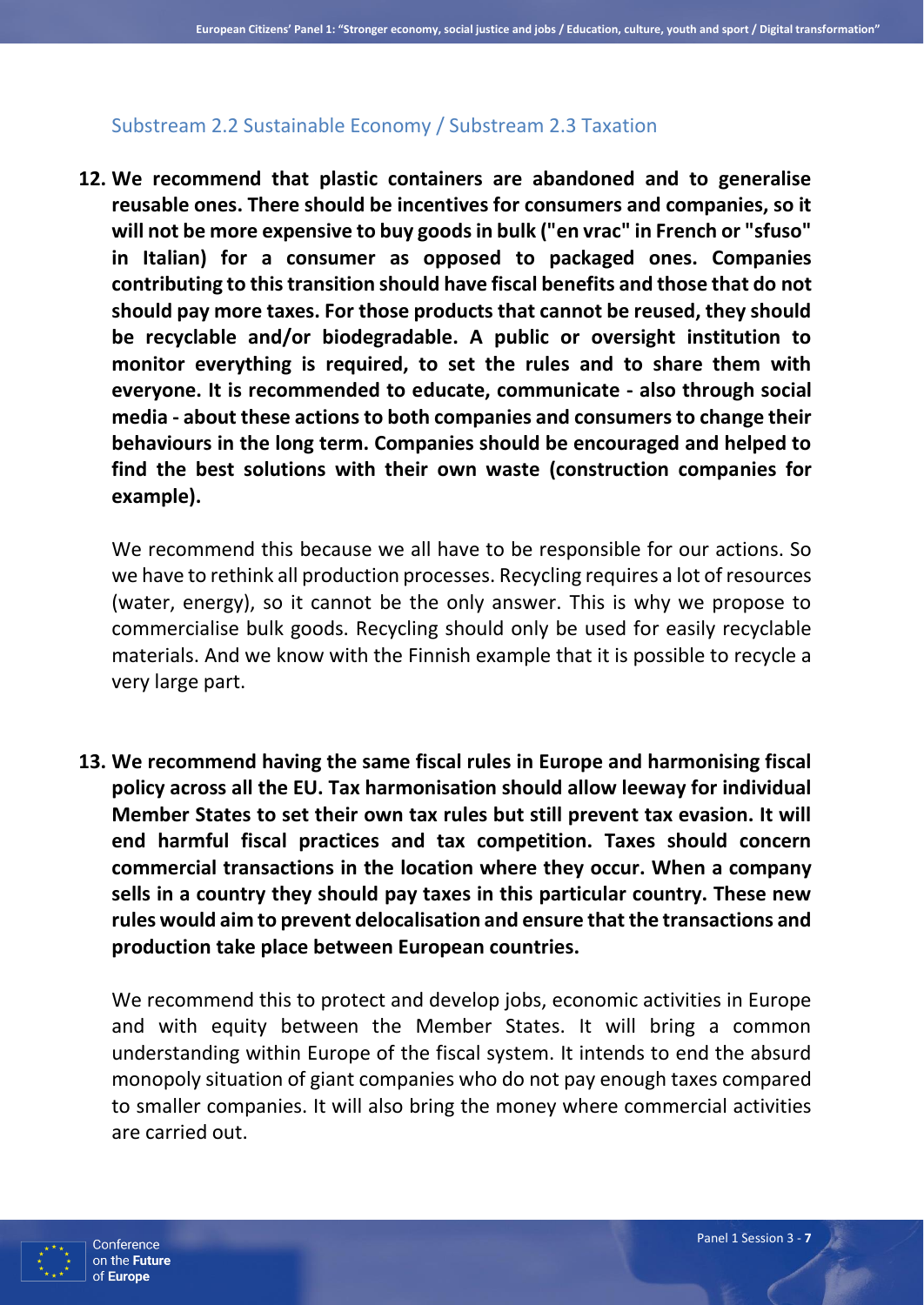#### Substream 2.2 Sustainable Economy / Substream 2.3 Taxation

**12. We recommend that plastic containers are abandoned and to generalise reusable ones. There should be incentives for consumers and companies, so it will not be more expensive to buy goods in bulk ("en vrac" in French or "sfuso" in Italian) for a consumer as opposed to packaged ones. Companies contributing to this transition should have fiscal benefits and those that do not should pay more taxes. For those products that cannot be reused, they should be recyclable and/or biodegradable. A public or oversight institution to monitor everything is required, to set the rules and to share them with everyone. It is recommended to educate, communicate - also through social media - about these actions to both companies and consumers to change their behaviours in the long term. Companies should be encouraged and helped to find the best solutions with their own waste (construction companies for example).** 

We recommend this because we all have to be responsible for our actions. So we have to rethink all production processes. Recycling requires a lot of resources (water, energy), so it cannot be the only answer. This is why we propose to commercialise bulk goods. Recycling should only be used for easily recyclable materials. And we know with the Finnish example that it is possible to recycle a very large part.

**13. We recommend having the same fiscal rules in Europe and harmonising fiscal policy across all the EU. Tax harmonisation should allow leeway for individual Member States to set their own tax rules but still prevent tax evasion. It will end harmful fiscal practices and tax competition. Taxes should concern commercial transactions in the location where they occur. When a company sells in a country they should pay taxes in this particular country. These new rules would aim to prevent delocalisation and ensure that the transactions and production take place between European countries.** 

We recommend this to protect and develop jobs, economic activities in Europe and with equity between the Member States. It will bring a common understanding within Europe of the fiscal system. It intends to end the absurd monopoly situation of giant companies who do not pay enough taxes compared to smaller companies. It will also bring the money where commercial activities are carried out.

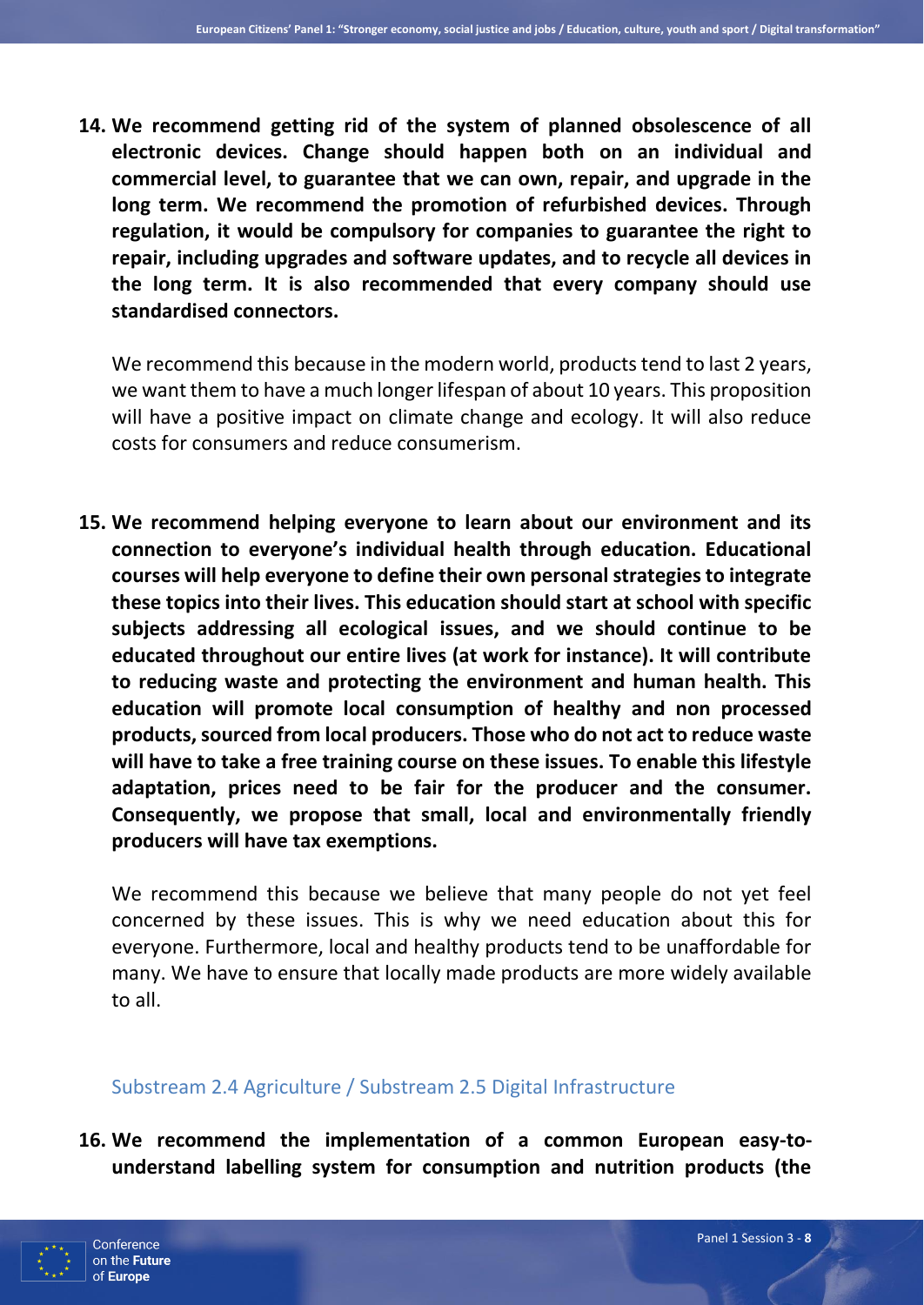**14. We recommend getting rid of the system of planned obsolescence of all electronic devices. Change should happen both on an individual and commercial level, to guarantee that we can own, repair, and upgrade in the long term. We recommend the promotion of refurbished devices. Through regulation, it would be compulsory for companies to guarantee the right to repair, including upgrades and software updates, and to recycle all devices in the long term. It is also recommended that every company should use standardised connectors.**

We recommend this because in the modern world, products tend to last 2 years, we want them to have a much longer lifespan of about 10 years. This proposition will have a positive impact on climate change and ecology. It will also reduce costs for consumers and reduce consumerism.

**15. We recommend helping everyone to learn about our environment and its connection to everyone's individual health through education. Educational courses will help everyone to define their own personal strategies to integrate these topics into their lives. This education should start at school with specific subjects addressing all ecological issues, and we should continue to be educated throughout our entire lives (at work for instance). It will contribute to reducing waste and protecting the environment and human health. This education will promote local consumption of healthy and non processed products, sourced from local producers. Those who do not act to reduce waste will have to take a free training course on these issues. To enable this lifestyle adaptation, prices need to be fair for the producer and the consumer. Consequently, we propose that small, local and environmentally friendly producers will have tax exemptions.**

We recommend this because we believe that many people do not yet feel concerned by these issues. This is why we need education about this for everyone. Furthermore, local and healthy products tend to be unaffordable for many. We have to ensure that locally made products are more widely available to all.

#### Substream 2.4 Agriculture / Substream 2.5 Digital Infrastructure

**16. We recommend the implementation of a common European easy-tounderstand labelling system for consumption and nutrition products (the** 

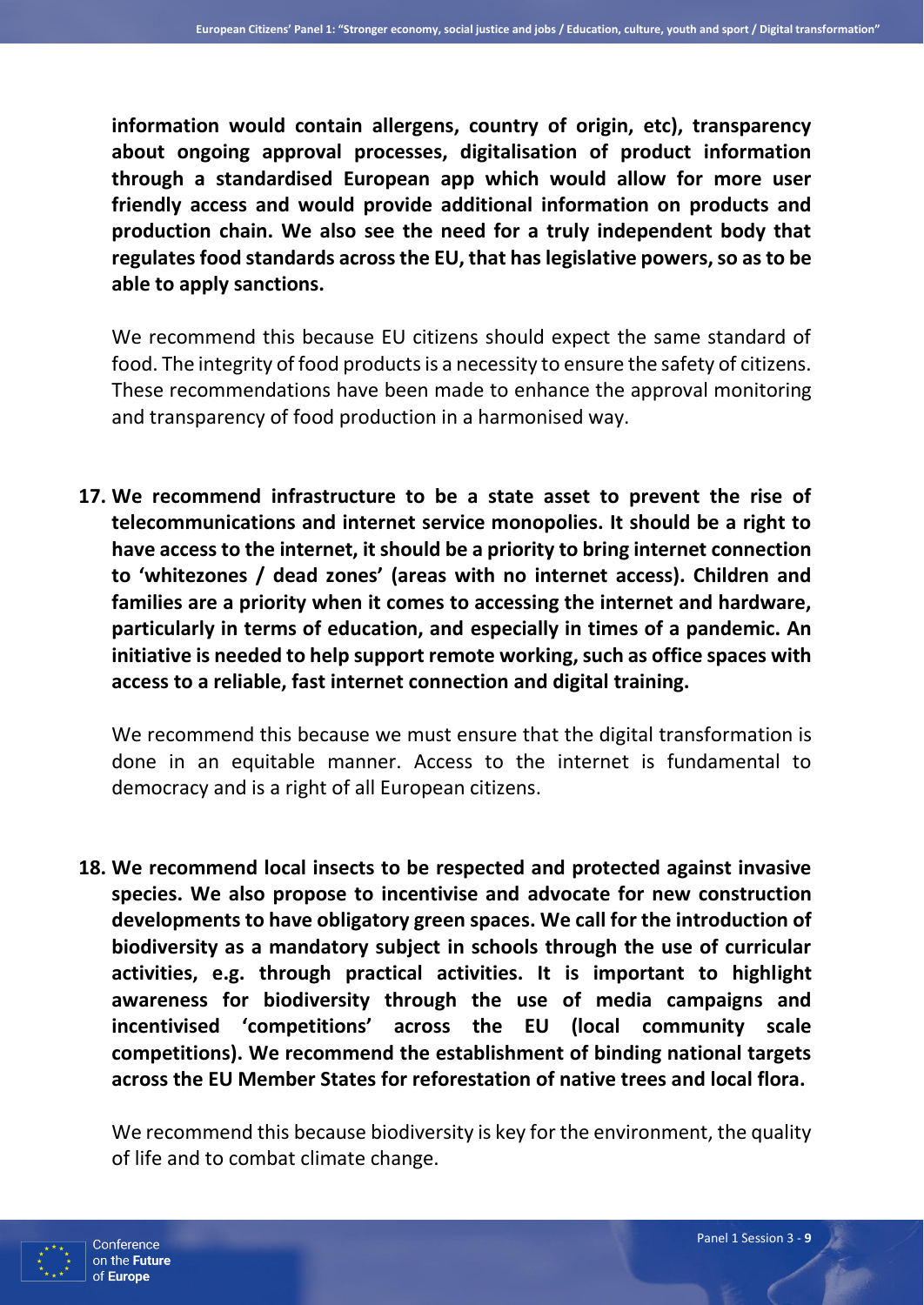**information would contain allergens, country of origin, etc), transparency about ongoing approval processes, digitalisation of product information through a standardised European app which would allow for more user friendly access and would provide additional information on products and production chain. We also see the need for a truly independent body that regulates food standards across the EU, that has legislative powers, so as to be able to apply sanctions.**

We recommend this because EU citizens should expect the same standard of food. The integrity of food products is a necessity to ensure the safety of citizens. These recommendations have been made to enhance the approval monitoring and transparency of food production in a harmonised way.

**17. We recommend infrastructure to be a state asset to prevent the rise of telecommunications and internet service monopolies. It should be a right to have access to the internet, it should be a priority to bring internet connection to 'whitezones / dead zones' (areas with no internet access). Children and families are a priority when it comes to accessing the internet and hardware, particularly in terms of education, and especially in times of a pandemic. An initiative is needed to help support remote working, such as office spaces with access to a reliable, fast internet connection and digital training.**

We recommend this because we must ensure that the digital transformation is done in an equitable manner. Access to the internet is fundamental to democracy and is a right of all European citizens.

**18. We recommend local insects to be respected and protected against invasive species. We also propose to incentivise and advocate for new construction developments to have obligatory green spaces. We call for the introduction of biodiversity as a mandatory subject in schools through the use of curricular activities, e.g. through practical activities. It is important to highlight awareness for biodiversity through the use of media campaigns and incentivised 'competitions' across the EU (local community scale competitions). We recommend the establishment of binding national targets across the EU Member States for reforestation of native trees and local flora.**

We recommend this because biodiversity is key for the environment, the quality of life and to combat climate change.

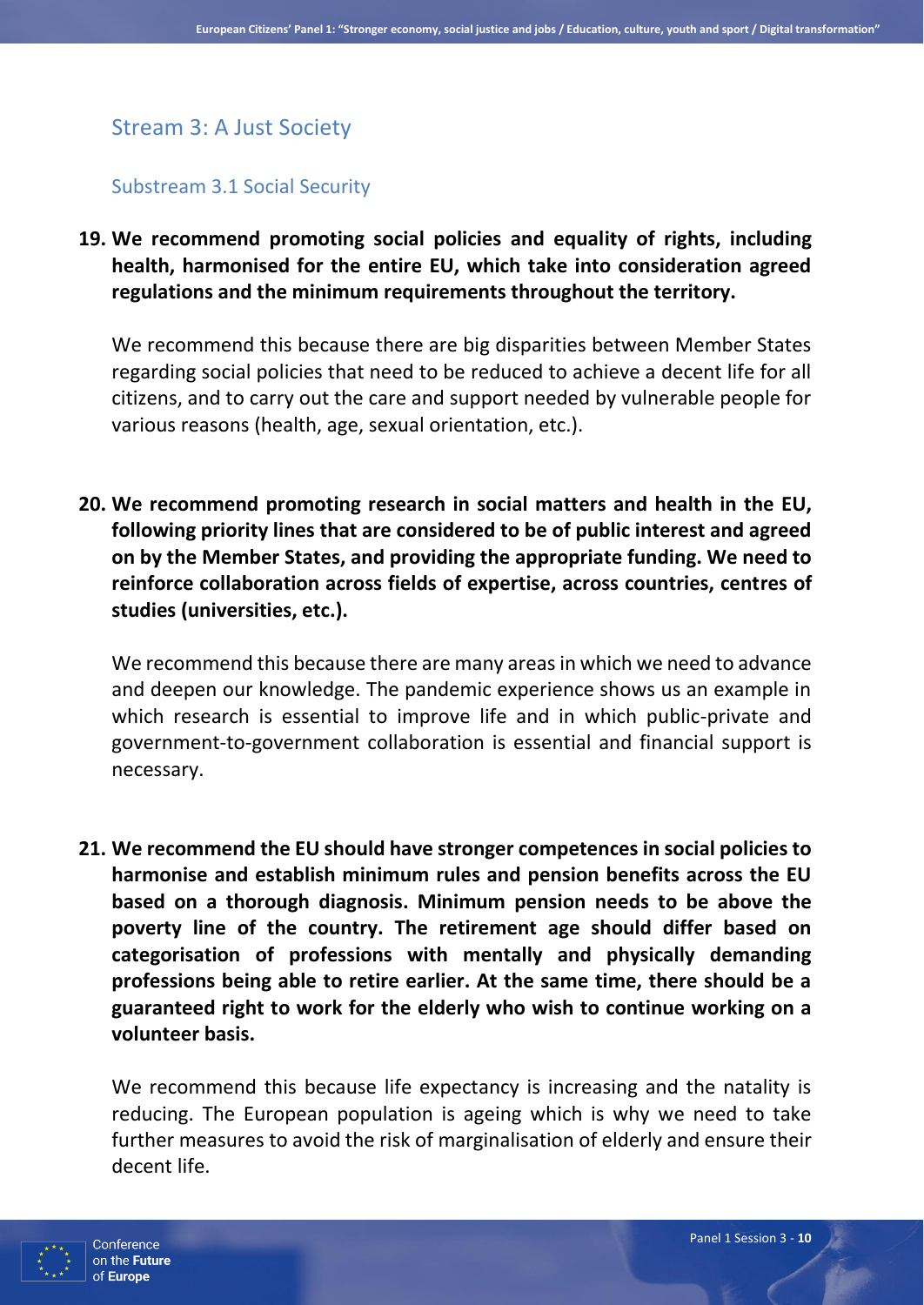## Stream 3: A Just Society

#### Substream 3.1 Social Security

**19. We recommend promoting social policies and equality of rights, including health, harmonised for the entire EU, which take into consideration agreed regulations and the minimum requirements throughout the territory.** 

We recommend this because there are big disparities between Member States regarding social policies that need to be reduced to achieve a decent life for all citizens, and to carry out the care and support needed by vulnerable people for various reasons (health, age, sexual orientation, etc.).

**20. We recommend promoting research in social matters and health in the EU, following priority lines that are considered to be of public interest and agreed on by the Member States, and providing the appropriate funding. We need to reinforce collaboration across fields of expertise, across countries, centres of studies (universities, etc.).** 

We recommend this because there are many areas in which we need to advance and deepen our knowledge. The pandemic experience shows us an example in which research is essential to improve life and in which public-private and government-to-government collaboration is essential and financial support is necessary.

**21. We recommend the EU should have stronger competences in social policies to harmonise and establish minimum rules and pension benefits across the EU based on a thorough diagnosis. Minimum pension needs to be above the poverty line of the country. The retirement age should differ based on categorisation of professions with mentally and physically demanding professions being able to retire earlier. At the same time, there should be a guaranteed right to work for the elderly who wish to continue working on a volunteer basis.** 

We recommend this because life expectancy is increasing and the natality is reducing. The European population is ageing which is why we need to take further measures to avoid the risk of marginalisation of elderly and ensure their decent life.

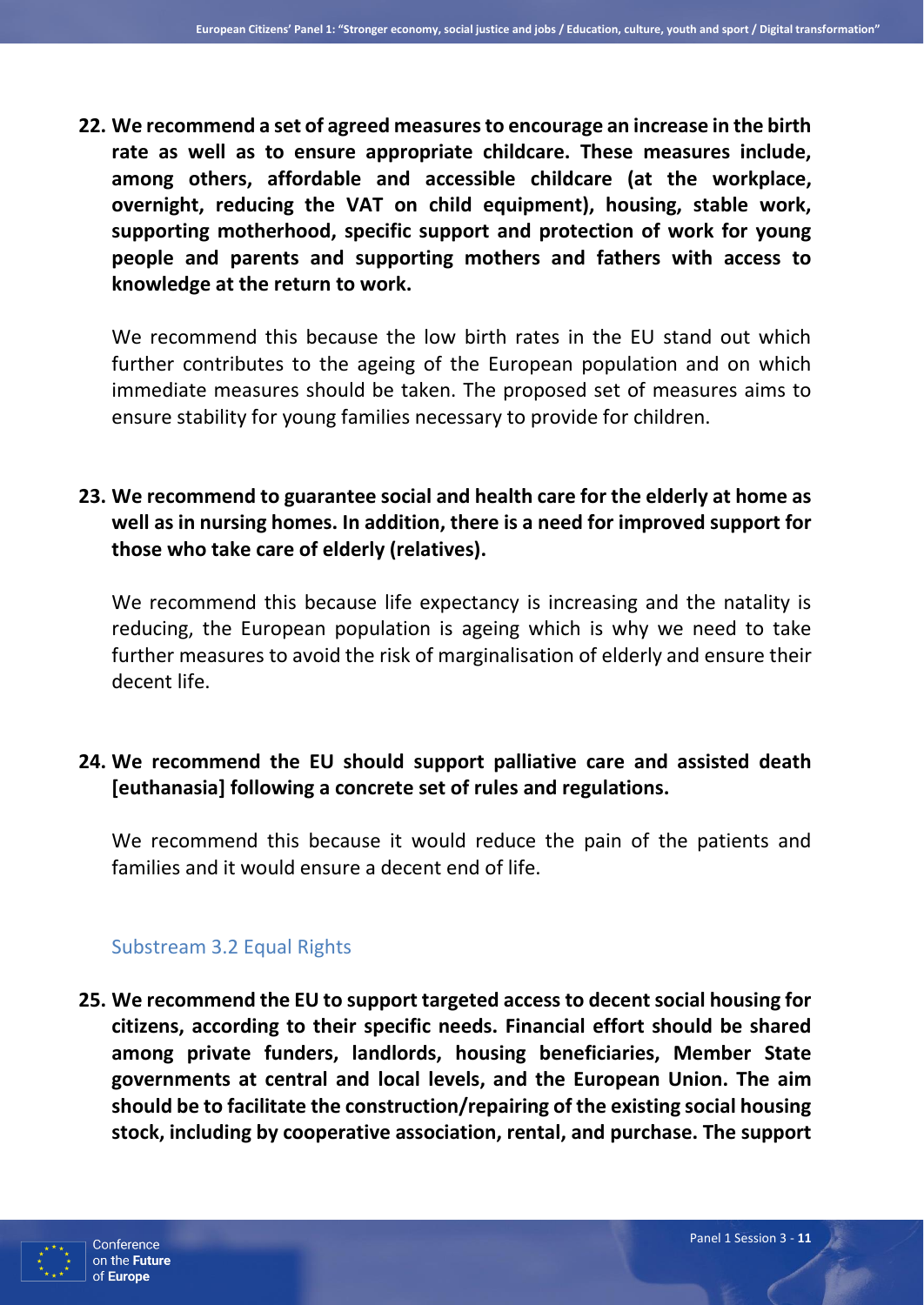**22. We recommend a set of agreed measures to encourage an increase in the birth rate as well as to ensure appropriate childcare. These measures include, among others, affordable and accessible childcare (at the workplace, overnight, reducing the VAT on child equipment), housing, stable work, supporting motherhood, specific support and protection of work for young people and parents and supporting mothers and fathers with access to knowledge at the return to work.** 

We recommend this because the low birth rates in the EU stand out which further contributes to the ageing of the European population and on which immediate measures should be taken. The proposed set of measures aims to ensure stability for young families necessary to provide for children.

## **23. We recommend to guarantee social and health care for the elderly at home as well as in nursing homes. In addition, there is a need for improved support for those who take care of elderly (relatives).**

We recommend this because life expectancy is increasing and the natality is reducing, the European population is ageing which is why we need to take further measures to avoid the risk of marginalisation of elderly and ensure their decent life.

## **24. We recommend the EU should support palliative care and assisted death [euthanasia] following a concrete set of rules and regulations.**

We recommend this because it would reduce the pain of the patients and families and it would ensure a decent end of life.

#### Substream 3.2 Equal Rights

**25. We recommend the EU to support targeted access to decent social housing for citizens, according to their specific needs. Financial effort should be shared among private funders, landlords, housing beneficiaries, Member State governments at central and local levels, and the European Union. The aim should be to facilitate the construction/repairing of the existing social housing stock, including by cooperative association, rental, and purchase. The support** 

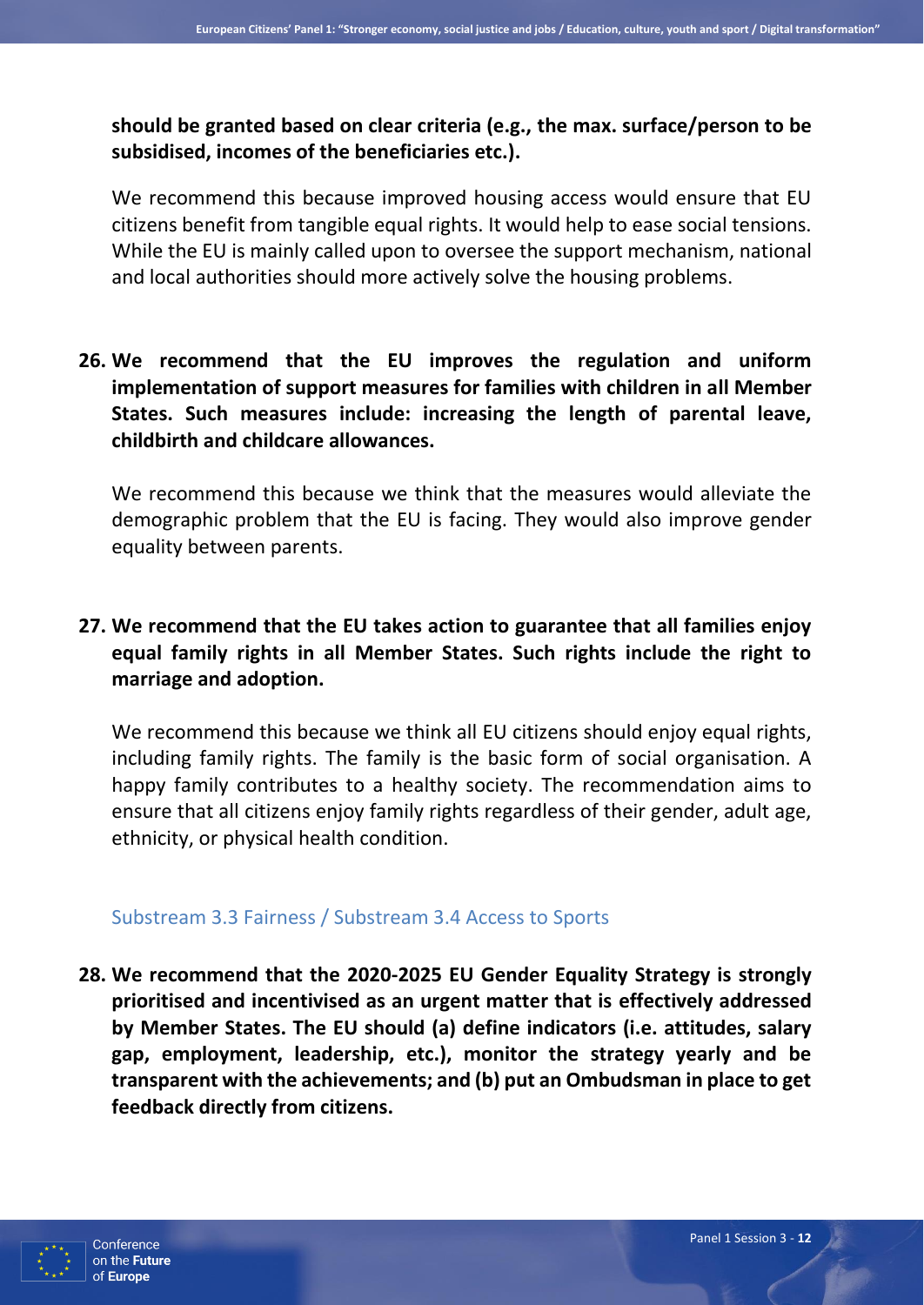**should be granted based on clear criteria (e.g., the max. surface/person to be subsidised, incomes of the beneficiaries etc.).**

We recommend this because improved housing access would ensure that EU citizens benefit from tangible equal rights. It would help to ease social tensions. While the EU is mainly called upon to oversee the support mechanism, national and local authorities should more actively solve the housing problems.

**26. We recommend that the EU improves the regulation and uniform implementation of support measures for families with children in all Member States. Such measures include: increasing the length of parental leave, childbirth and childcare allowances.** 

We recommend this because we think that the measures would alleviate the demographic problem that the EU is facing. They would also improve gender equality between parents.

**27. We recommend that the EU takes action to guarantee that all families enjoy equal family rights in all Member States. Such rights include the right to marriage and adoption.**

We recommend this because we think all EU citizens should enjoy equal rights, including family rights. The family is the basic form of social organisation. A happy family contributes to a healthy society. The recommendation aims to ensure that all citizens enjoy family rights regardless of their gender, adult age, ethnicity, or physical health condition.

#### Substream 3.3 Fairness / Substream 3.4 Access to Sports

**28. We recommend that the 2020-2025 EU Gender Equality Strategy is strongly prioritised and incentivised as an urgent matter that is effectively addressed by Member States. The EU should (a) define indicators (i.e. attitudes, salary gap, employment, leadership, etc.), monitor the strategy yearly and be transparent with the achievements; and (b) put an Ombudsman in place to get feedback directly from citizens.**

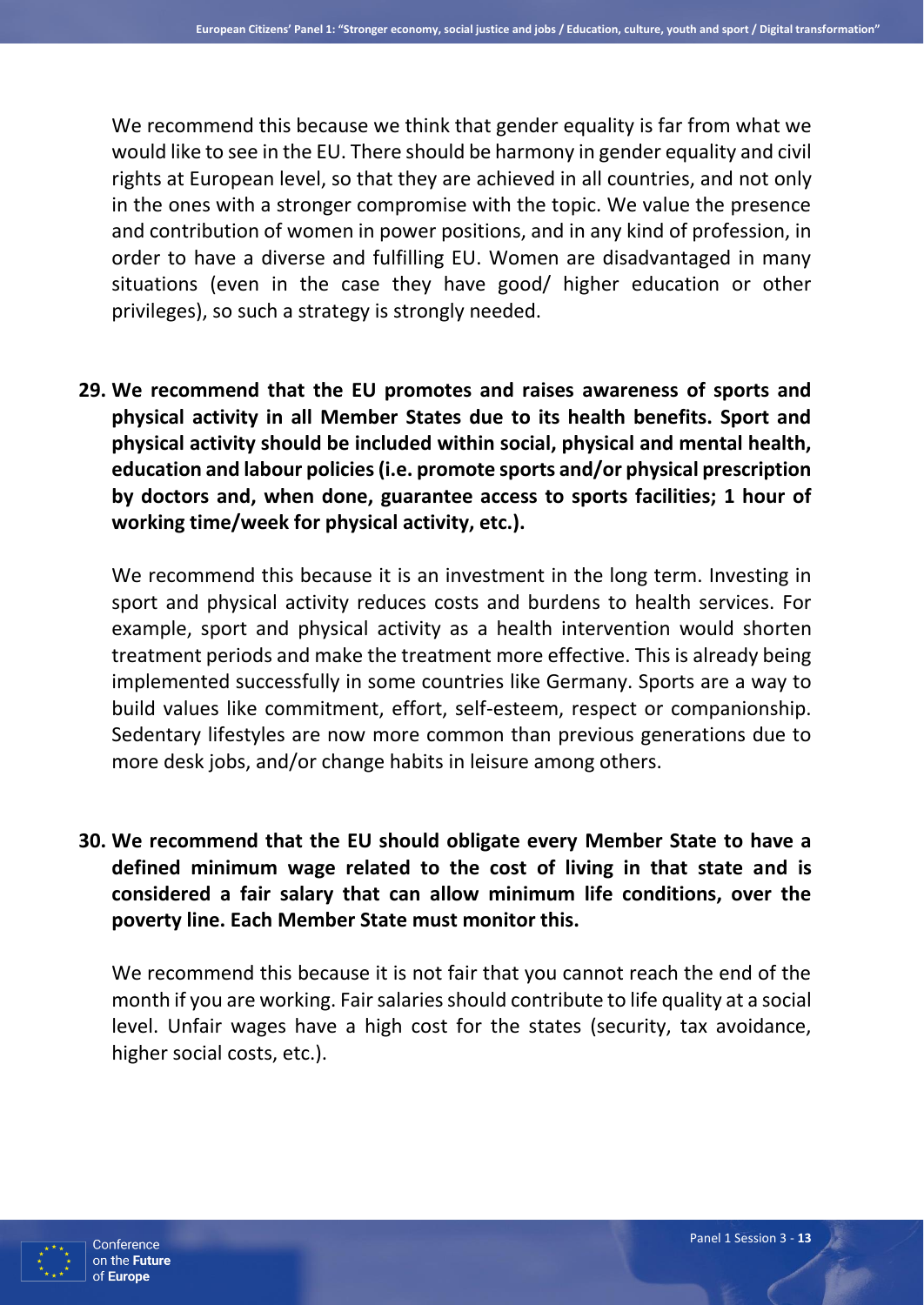We recommend this because we think that gender equality is far from what we would like to see in the EU. There should be harmony in gender equality and civil rights at European level, so that they are achieved in all countries, and not only in the ones with a stronger compromise with the topic. We value the presence and contribution of women in power positions, and in any kind of profession, in order to have a diverse and fulfilling EU. Women are disadvantaged in many situations (even in the case they have good/ higher education or other privileges), so such a strategy is strongly needed.

**29. We recommend that the EU promotes and raises awareness of sports and physical activity in all Member States due to its health benefits. Sport and physical activity should be included within social, physical and mental health, education and labour policies (i.e. promote sports and/or physical prescription by doctors and, when done, guarantee access to sports facilities; 1 hour of working time/week for physical activity, etc.).**

We recommend this because it is an investment in the long term. Investing in sport and physical activity reduces costs and burdens to health services. For example, sport and physical activity as a health intervention would shorten treatment periods and make the treatment more effective. This is already being implemented successfully in some countries like Germany. Sports are a way to build values like commitment, effort, self-esteem, respect or companionship. Sedentary lifestyles are now more common than previous generations due to more desk jobs, and/or change habits in leisure among others.

**30. We recommend that the EU should obligate every Member State to have a defined minimum wage related to the cost of living in that state and is considered a fair salary that can allow minimum life conditions, over the poverty line. Each Member State must monitor this.** 

We recommend this because it is not fair that you cannot reach the end of the month if you are working. Fair salaries should contribute to life quality at a social level. Unfair wages have a high cost for the states (security, tax avoidance, higher social costs, etc.).

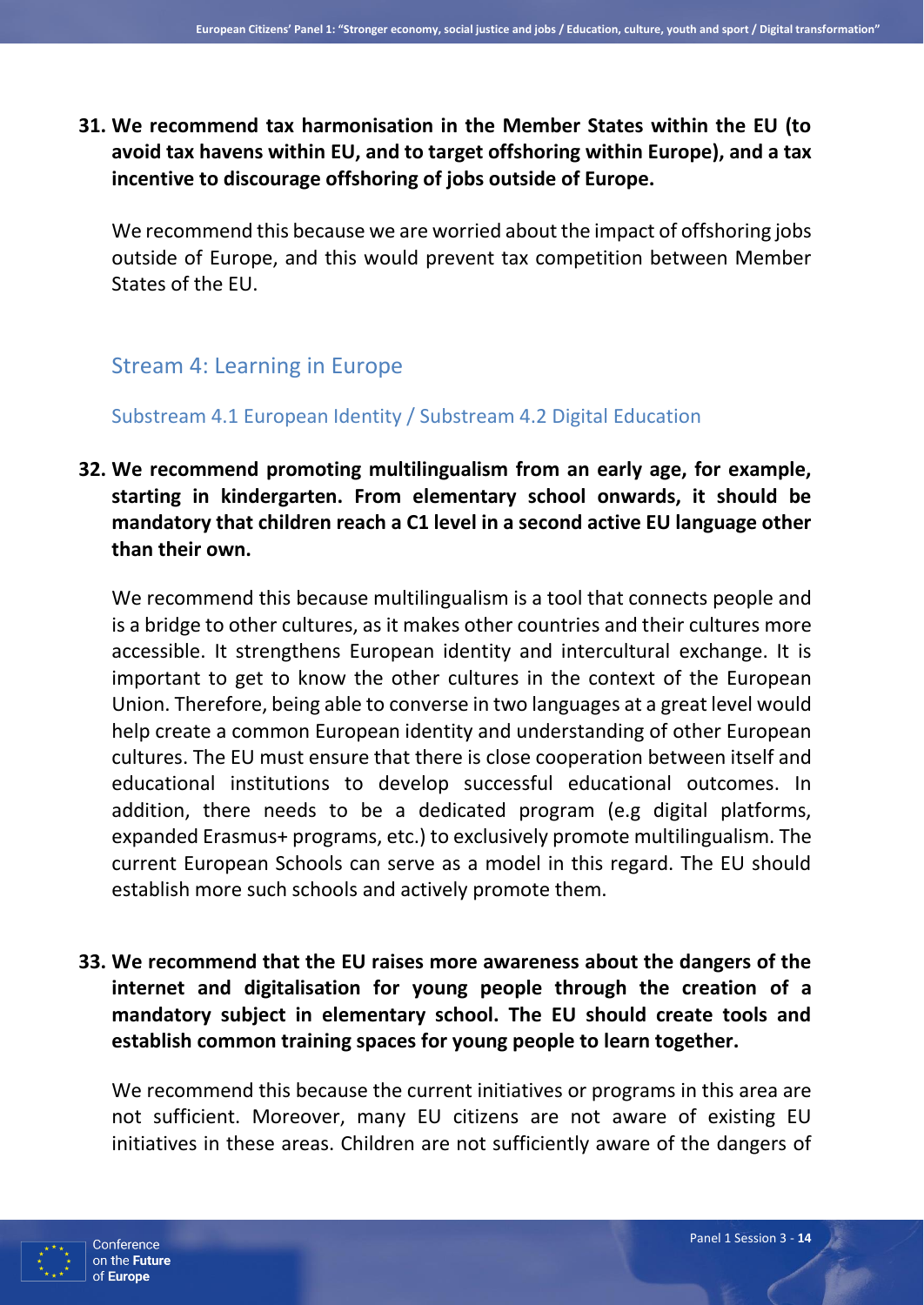## **31. We recommend tax harmonisation in the Member States within the EU (to avoid tax havens within EU, and to target offshoring within Europe), and a tax incentive to discourage offshoring of jobs outside of Europe.**

We recommend this because we are worried about the impact of offshoring jobs outside of Europe, and this would prevent tax competition between Member States of the EU.

# Stream 4: Learning in Europe

## Substream 4.1 European Identity / Substream 4.2 Digital Education

## **32. We recommend promoting multilingualism from an early age, for example, starting in kindergarten. From elementary school onwards, it should be mandatory that children reach a C1 level in a second active EU language other than their own.**

We recommend this because multilingualism is a tool that connects people and is a bridge to other cultures, as it makes other countries and their cultures more accessible. It strengthens European identity and intercultural exchange. It is important to get to know the other cultures in the context of the European Union. Therefore, being able to converse in two languages at a great level would help create a common European identity and understanding of other European cultures. The EU must ensure that there is close cooperation between itself and educational institutions to develop successful educational outcomes. In addition, there needs to be a dedicated program (e.g digital platforms, expanded Erasmus+ programs, etc.) to exclusively promote multilingualism. The current European Schools can serve as a model in this regard. The EU should establish more such schools and actively promote them.

## **33. We recommend that the EU raises more awareness about the dangers of the internet and digitalisation for young people through the creation of a mandatory subject in elementary school. The EU should create tools and establish common training spaces for young people to learn together.**

We recommend this because the current initiatives or programs in this area are not sufficient. Moreover, many EU citizens are not aware of existing EU initiatives in these areas. Children are not sufficiently aware of the dangers of

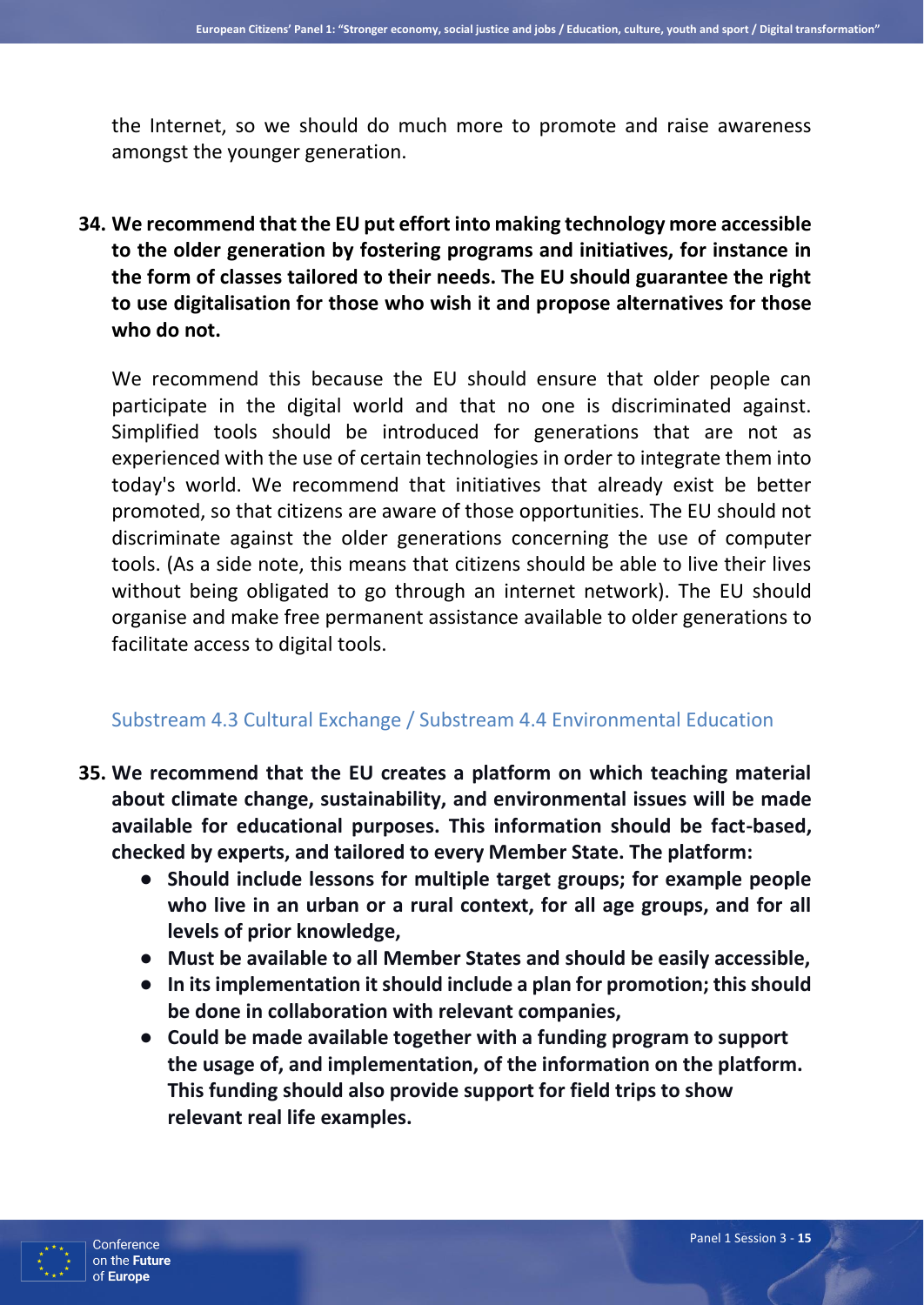the Internet, so we should do much more to promote and raise awareness amongst the younger generation.

**34. We recommend that the EU put effort into making technology more accessible to the older generation by fostering programs and initiatives, for instance in the form of classes tailored to their needs. The EU should guarantee the right to use digitalisation for those who wish it and propose alternatives for those who do not.** 

We recommend this because the EU should ensure that older people can participate in the digital world and that no one is discriminated against. Simplified tools should be introduced for generations that are not as experienced with the use of certain technologies in order to integrate them into today's world. We recommend that initiatives that already exist be better promoted, so that citizens are aware of those opportunities. The EU should not discriminate against the older generations concerning the use of computer tools. (As a side note, this means that citizens should be able to live their lives without being obligated to go through an internet network). The EU should organise and make free permanent assistance available to older generations to facilitate access to digital tools.

#### Substream 4.3 Cultural Exchange / Substream 4.4 Environmental Education

- **35. We recommend that the EU creates a platform on which teaching material about climate change, sustainability, and environmental issues will be made available for educational purposes. This information should be fact-based, checked by experts, and tailored to every Member State. The platform:**
	- **Should include lessons for multiple target groups; for example people who live in an urban or a rural context, for all age groups, and for all levels of prior knowledge,**
	- **Must be available to all Member States and should be easily accessible,**
	- **In its implementation it should include a plan for promotion; this should be done in collaboration with relevant companies,**
	- **Could be made available together with a funding program to support the usage of, and implementation, of the information on the platform. This funding should also provide support for field trips to show relevant real life examples.**

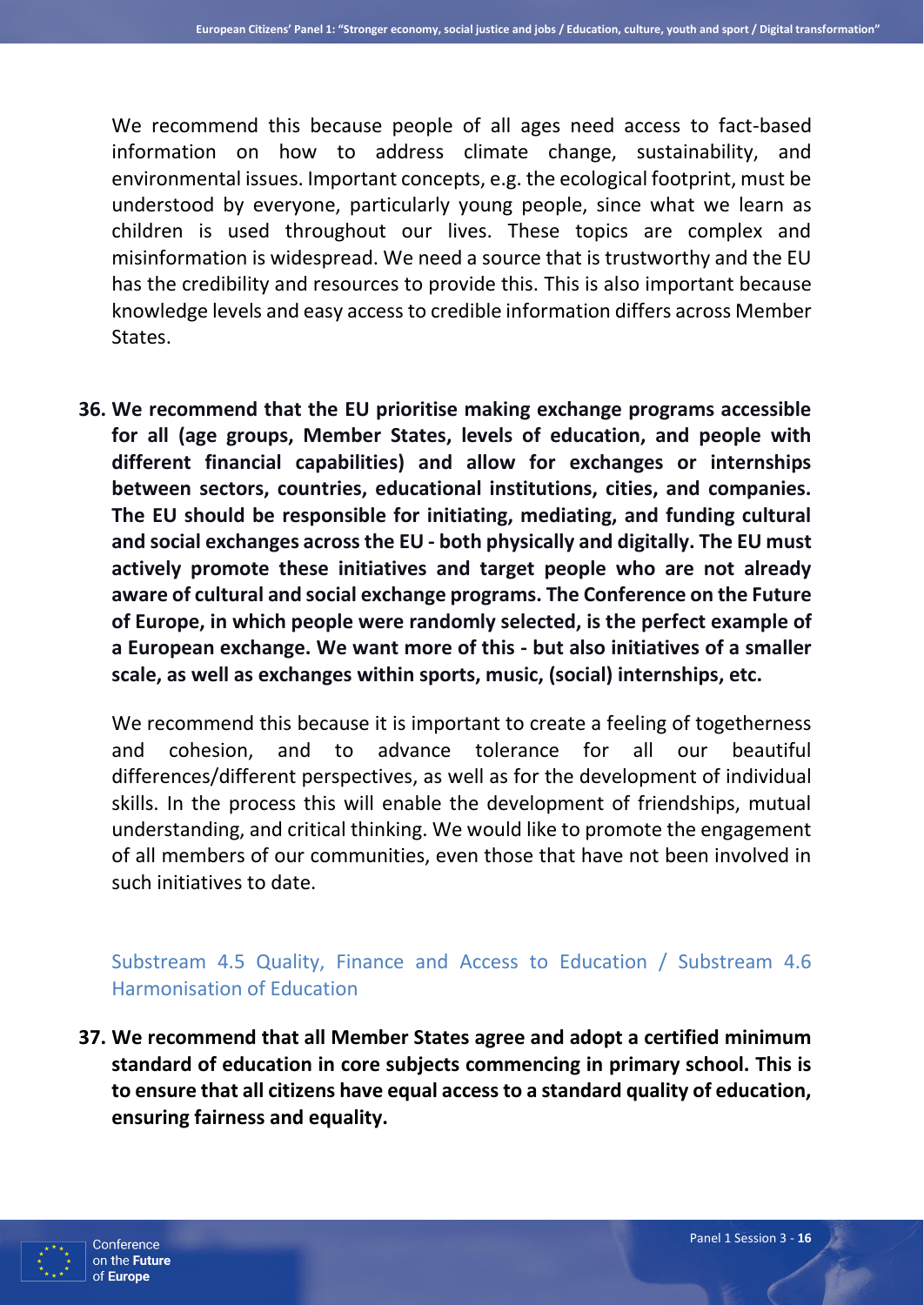We recommend this because people of all ages need access to fact-based information on how to address climate change, sustainability, and environmental issues. Important concepts, e.g. the ecological footprint, must be understood by everyone, particularly young people, since what we learn as children is used throughout our lives. These topics are complex and misinformation is widespread. We need a source that is trustworthy and the EU has the credibility and resources to provide this. This is also important because knowledge levels and easy access to credible information differs across Member States.

**36. We recommend that the EU prioritise making exchange programs accessible for all (age groups, Member States, levels of education, and people with different financial capabilities) and allow for exchanges or internships between sectors, countries, educational institutions, cities, and companies. The EU should be responsible for initiating, mediating, and funding cultural and social exchanges across the EU - both physically and digitally. The EU must actively promote these initiatives and target people who are not already aware of cultural and social exchange programs. The Conference on the Future of Europe, in which people were randomly selected, is the perfect example of a European exchange. We want more of this - but also initiatives of a smaller scale, as well as exchanges within sports, music, (social) internships, etc.**

We recommend this because it is important to create a feeling of togetherness and cohesion, and to advance tolerance for all our beautiful differences/different perspectives, as well as for the development of individual skills. In the process this will enable the development of friendships, mutual understanding, and critical thinking. We would like to promote the engagement of all members of our communities, even those that have not been involved in such initiatives to date.

## Substream 4.5 Quality, Finance and Access to Education / Substream 4.6 Harmonisation of Education

**37. We recommend that all Member States agree and adopt a certified minimum standard of education in core subjects commencing in primary school. This is to ensure that all citizens have equal access to a standard quality of education, ensuring fairness and equality.**

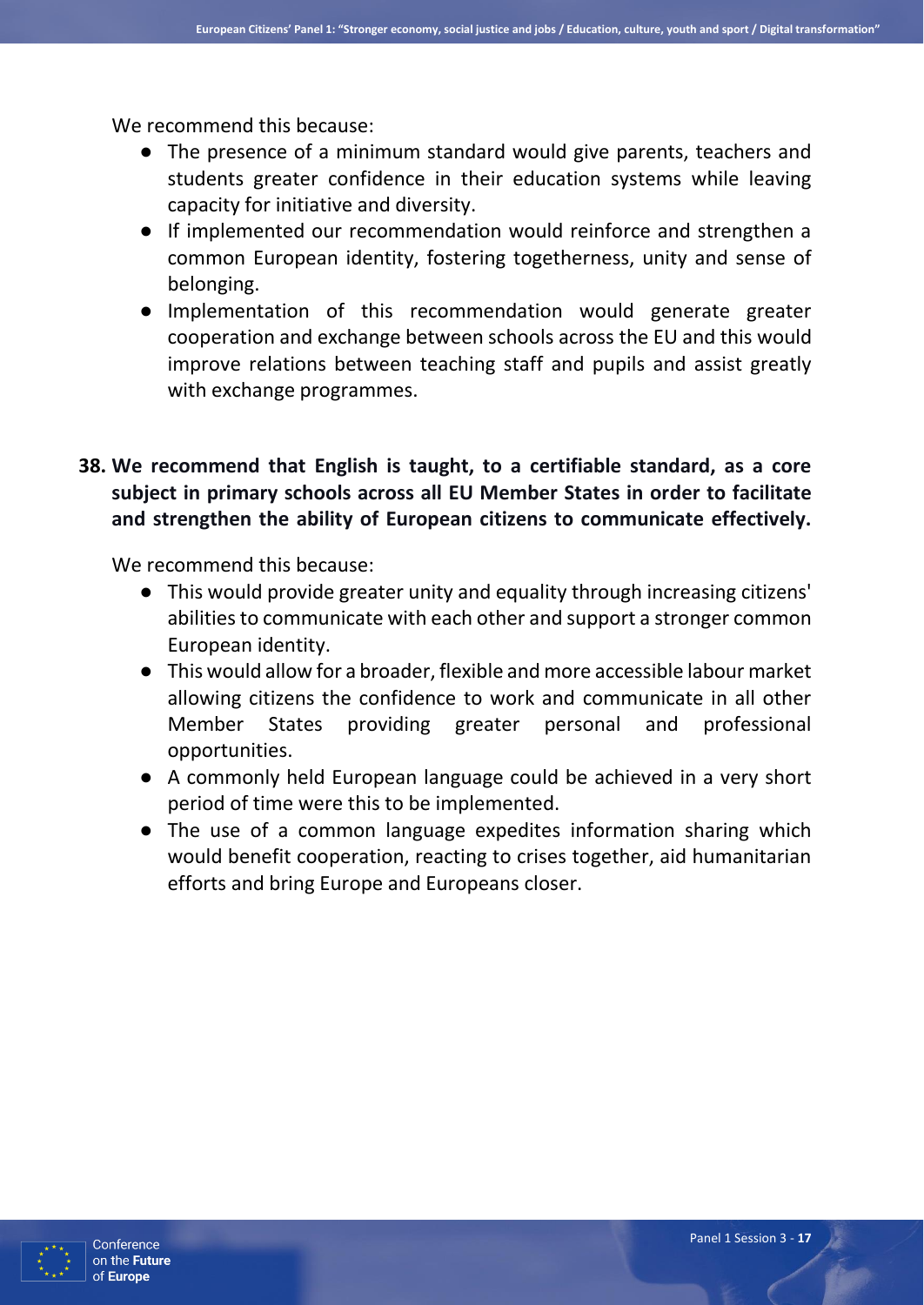We recommend this because:

- The presence of a minimum standard would give parents, teachers and students greater confidence in their education systems while leaving capacity for initiative and diversity.
- If implemented our recommendation would reinforce and strengthen a common European identity, fostering togetherness, unity and sense of belonging.
- Implementation of this recommendation would generate greater cooperation and exchange between schools across the EU and this would improve relations between teaching staff and pupils and assist greatly with exchange programmes.
- **38. We recommend that English is taught, to a certifiable standard, as a core subject in primary schools across all EU Member States in order to facilitate and strengthen the ability of European citizens to communicate effectively.**

We recommend this because:

- This would provide greater unity and equality through increasing citizens' abilities to communicate with each other and support a stronger common European identity.
- This would allow for a broader, flexible and more accessible labour market allowing citizens the confidence to work and communicate in all other Member States providing greater personal and professional opportunities.
- A commonly held European language could be achieved in a very short period of time were this to be implemented.
- The use of a common language expedites information sharing which would benefit cooperation, reacting to crises together, aid humanitarian efforts and bring Europe and Europeans closer.

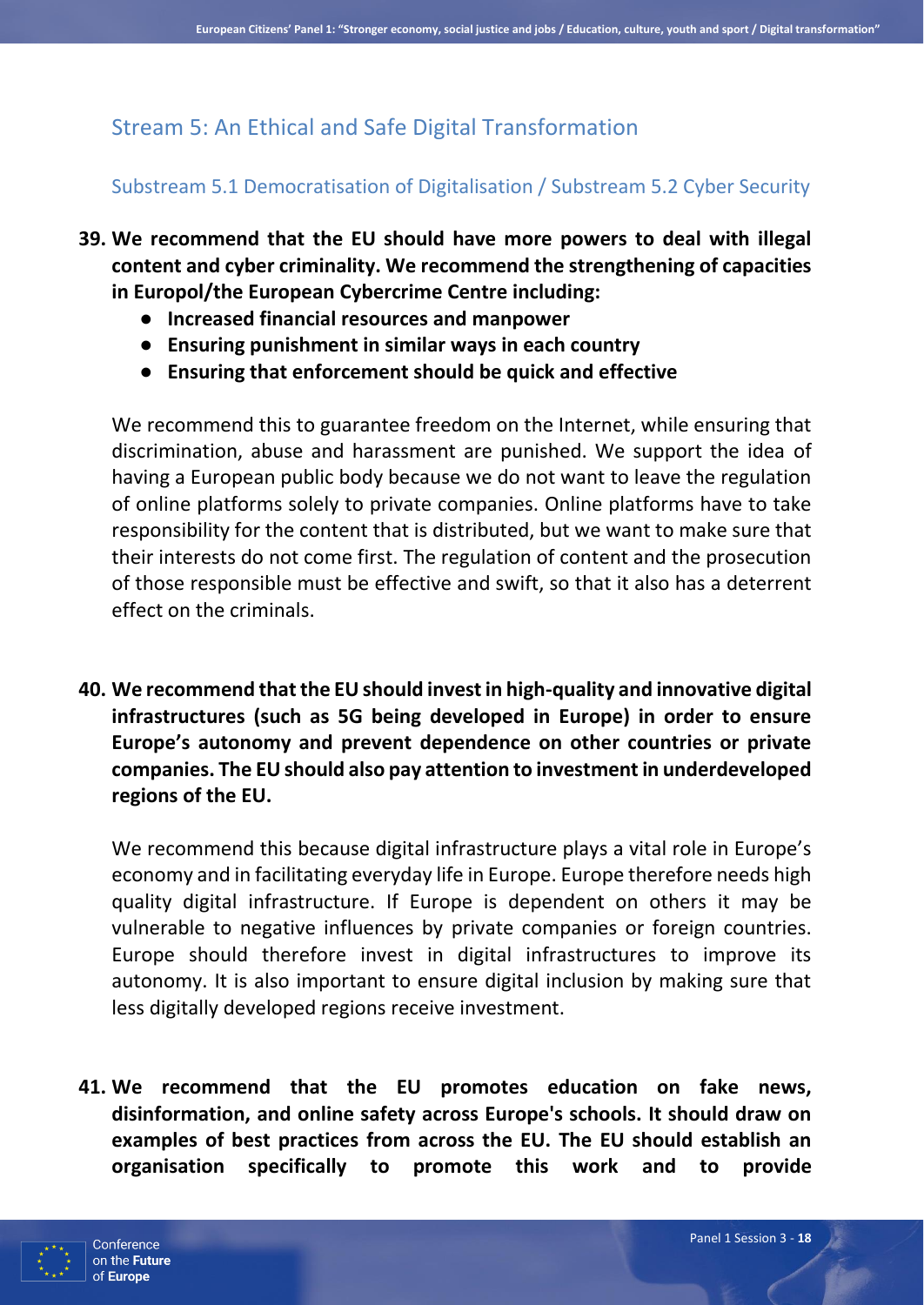# Stream 5: An Ethical and Safe Digital Transformation

## Substream 5.1 Democratisation of Digitalisation / Substream 5.2 Cyber Security

- **39. We recommend that the EU should have more powers to deal with illegal content and cyber criminality. We recommend the strengthening of capacities in Europol/the European Cybercrime Centre including:** 
	- **Increased financial resources and manpower**
	- **Ensuring punishment in similar ways in each country**
	- **Ensuring that enforcement should be quick and effective**

We recommend this to guarantee freedom on the Internet, while ensuring that discrimination, abuse and harassment are punished. We support the idea of having a European public body because we do not want to leave the regulation of online platforms solely to private companies. Online platforms have to take responsibility for the content that is distributed, but we want to make sure that their interests do not come first. The regulation of content and the prosecution of those responsible must be effective and swift, so that it also has a deterrent effect on the criminals.

**40. We recommend that the EU should invest in high-quality and innovative digital infrastructures (such as 5G being developed in Europe) in order to ensure Europe's autonomy and prevent dependence on other countries or private companies. The EU should also pay attention to investment in underdeveloped regions of the EU.**

We recommend this because digital infrastructure plays a vital role in Europe's economy and in facilitating everyday life in Europe. Europe therefore needs high quality digital infrastructure. If Europe is dependent on others it may be vulnerable to negative influences by private companies or foreign countries. Europe should therefore invest in digital infrastructures to improve its autonomy. It is also important to ensure digital inclusion by making sure that less digitally developed regions receive investment.

**41. We recommend that the EU promotes education on fake news, disinformation, and online safety across Europe's schools. It should draw on examples of best practices from across the EU. The EU should establish an organisation specifically to promote this work and to provide** 

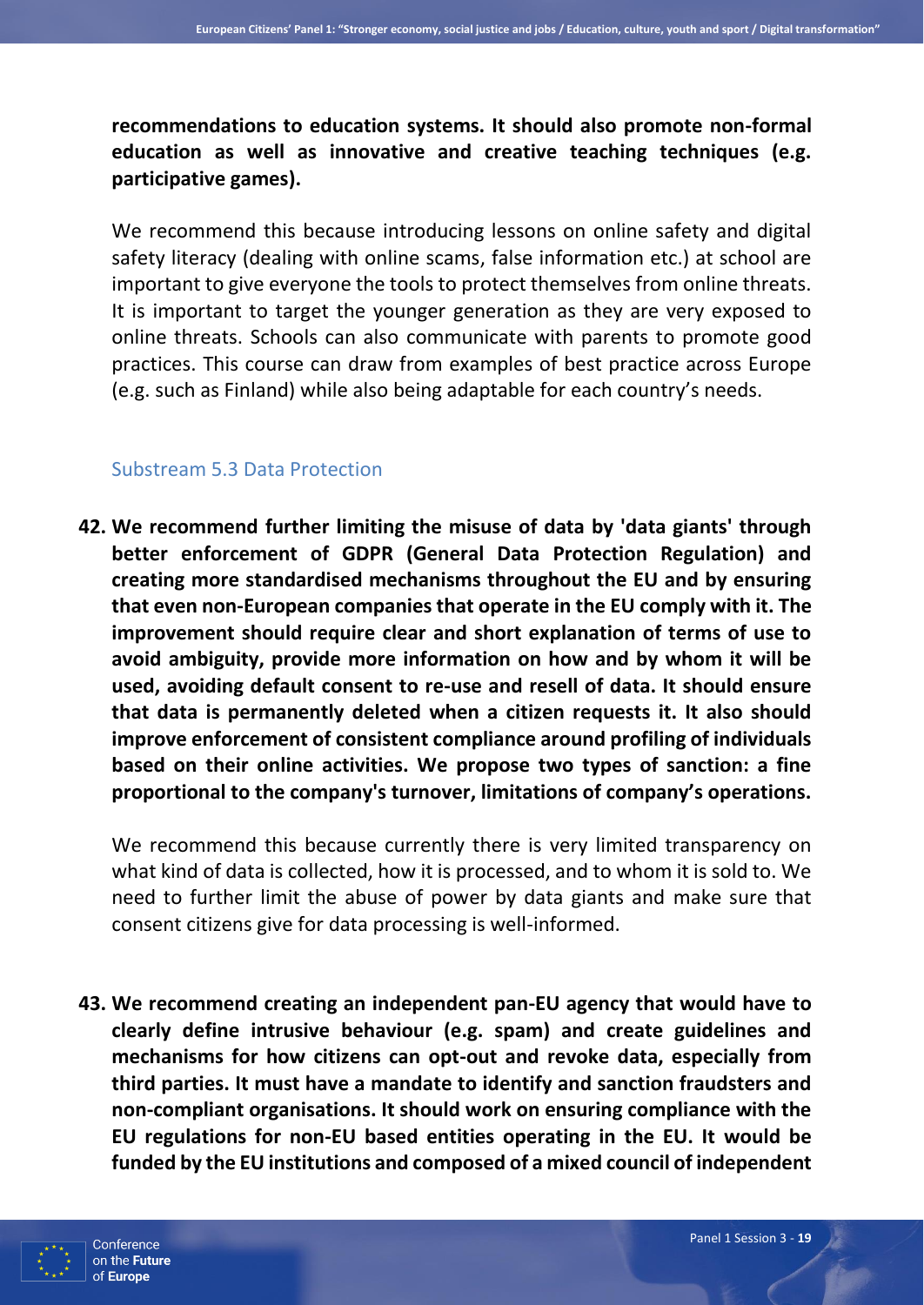**recommendations to education systems. It should also promote non-formal education as well as innovative and creative teaching techniques (e.g. participative games).**

We recommend this because introducing lessons on online safety and digital safety literacy (dealing with online scams, false information etc.) at school are important to give everyone the tools to protect themselves from online threats. It is important to target the younger generation as they are very exposed to online threats. Schools can also communicate with parents to promote good practices. This course can draw from examples of best practice across Europe (e.g. such as Finland) while also being adaptable for each country's needs.

#### Substream 5.3 Data Protection

**42. We recommend further limiting the misuse of data by 'data giants' through better enforcement of GDPR (General Data Protection Regulation) and creating more standardised mechanisms throughout the EU and by ensuring that even non-European companies that operate in the EU comply with it. The improvement should require clear and short explanation of terms of use to avoid ambiguity, provide more information on how and by whom it will be used, avoiding default consent to re-use and resell of data. It should ensure that data is permanently deleted when a citizen requests it. It also should improve enforcement of consistent compliance around profiling of individuals based on their online activities. We propose two types of sanction: a fine proportional to the company's turnover, limitations of company's operations.**

We recommend this because currently there is very limited transparency on what kind of data is collected, how it is processed, and to whom it is sold to. We need to further limit the abuse of power by data giants and make sure that consent citizens give for data processing is well-informed.

**43. We recommend creating an independent pan-EU agency that would have to clearly define intrusive behaviour (e.g. spam) and create guidelines and mechanisms for how citizens can opt-out and revoke data, especially from third parties. It must have a mandate to identify and sanction fraudsters and non-compliant organisations. It should work on ensuring compliance with the EU regulations for non-EU based entities operating in the EU. It would be funded by the EU institutions and composed of a mixed council of independent** 

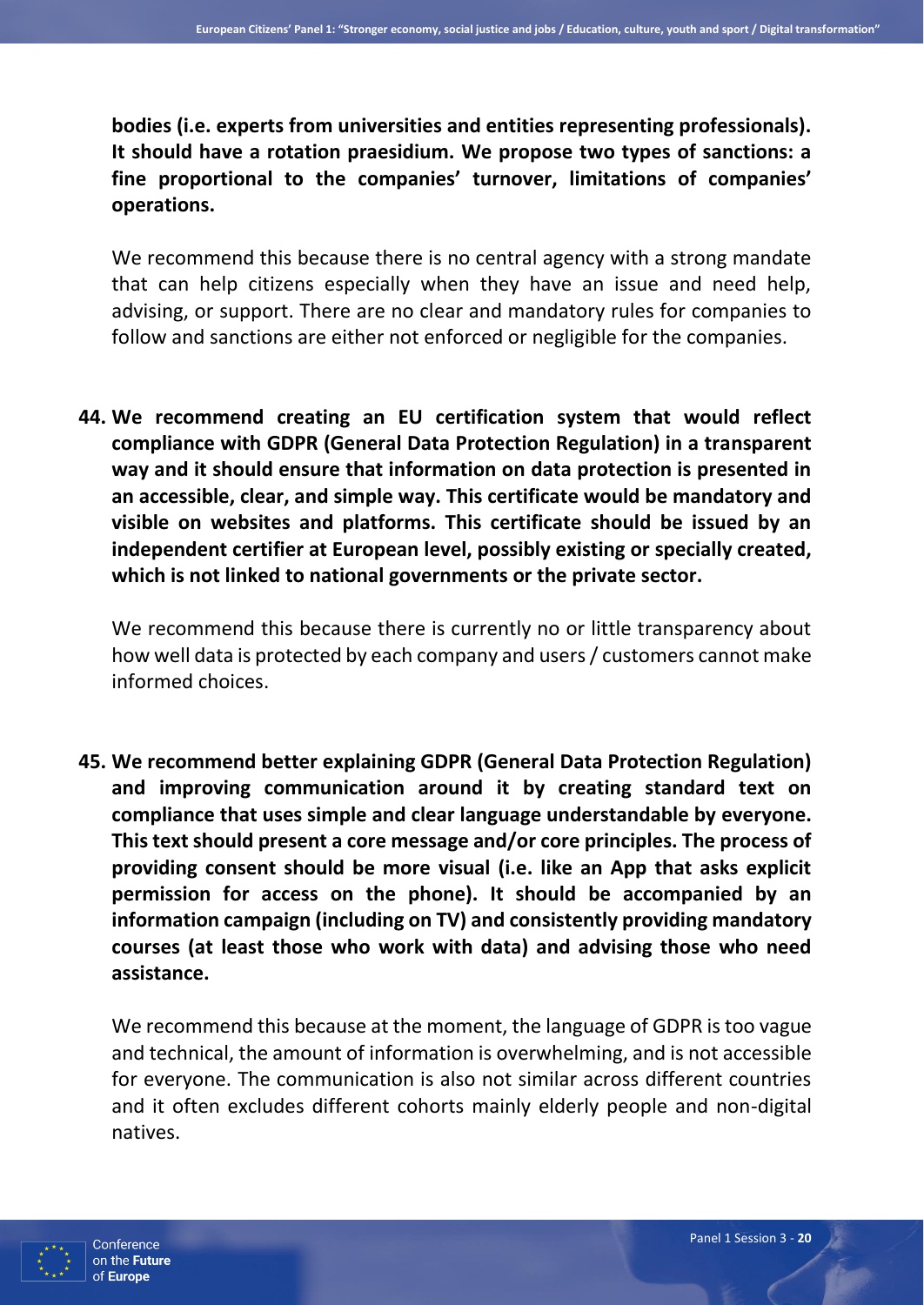**bodies (i.e. experts from universities and entities representing professionals). It should have a rotation praesidium. We propose two types of sanctions: a fine proportional to the companies' turnover, limitations of companies' operations.**

We recommend this because there is no central agency with a strong mandate that can help citizens especially when they have an issue and need help, advising, or support. There are no clear and mandatory rules for companies to follow and sanctions are either not enforced or negligible for the companies.

**44. We recommend creating an EU certification system that would reflect compliance with GDPR (General Data Protection Regulation) in a transparent way and it should ensure that information on data protection is presented in an accessible, clear, and simple way. This certificate would be mandatory and visible on websites and platforms. This certificate should be issued by an independent certifier at European level, possibly existing or specially created, which is not linked to national governments or the private sector.**

We recommend this because there is currently no or little transparency about how well data is protected by each company and users / customers cannot make informed choices.

**45. We recommend better explaining GDPR (General Data Protection Regulation) and improving communication around it by creating standard text on compliance that uses simple and clear language understandable by everyone. This text should present a core message and/or core principles. The process of providing consent should be more visual (i.e. like an App that asks explicit permission for access on the phone). It should be accompanied by an information campaign (including on TV) and consistently providing mandatory courses (at least those who work with data) and advising those who need assistance.**

We recommend this because at the moment, the language of GDPR is too vague and technical, the amount of information is overwhelming, and is not accessible for everyone. The communication is also not similar across different countries and it often excludes different cohorts mainly elderly people and non-digital natives.

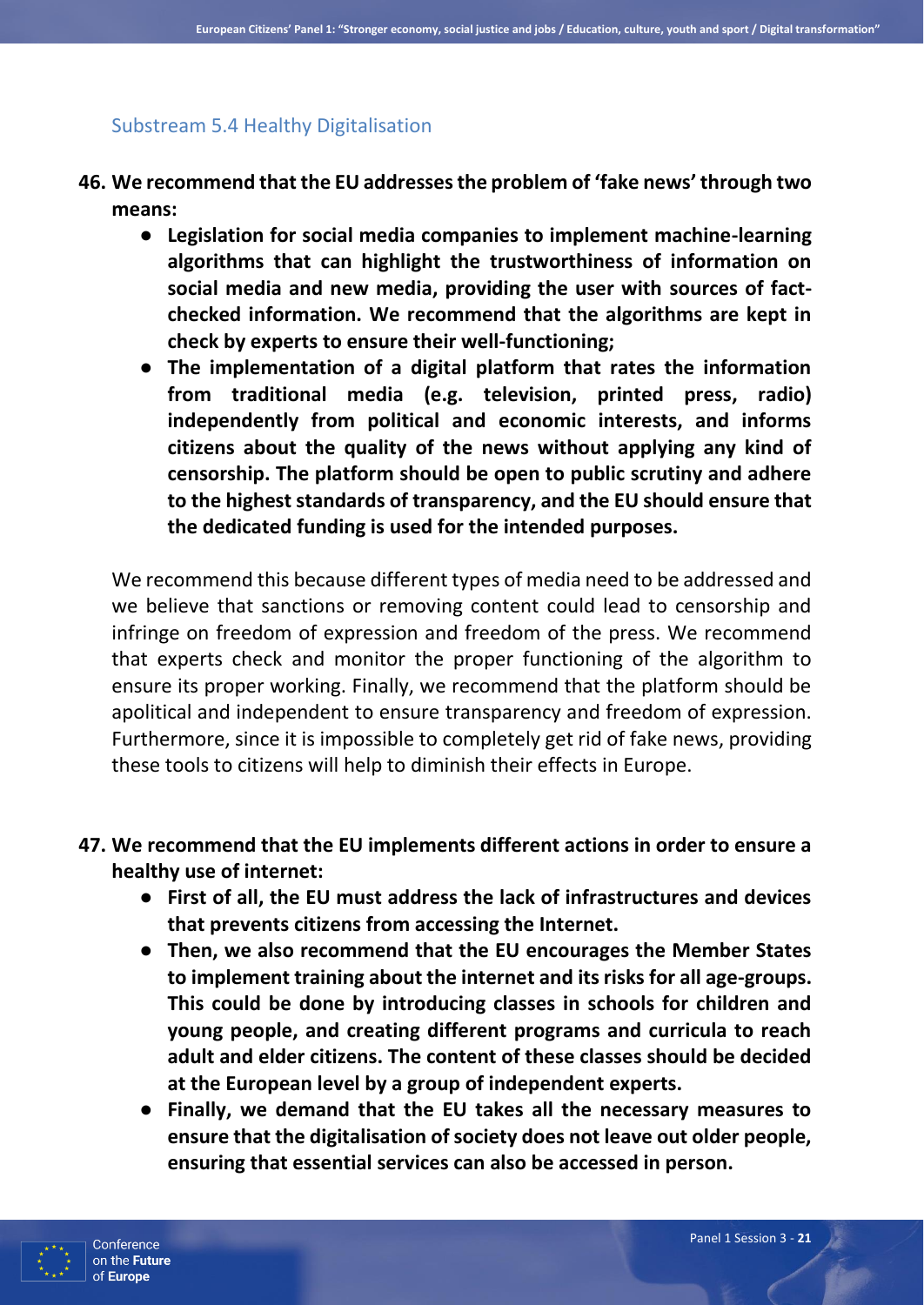#### Substream 5.4 Healthy Digitalisation

- **46. We recommend that the EU addresses the problem of 'fake news' through two means:**
	- **Legislation for social media companies to implement machine-learning algorithms that can highlight the trustworthiness of information on social media and new media, providing the user with sources of factchecked information. We recommend that the algorithms are kept in check by experts to ensure their well-functioning;**
	- **The implementation of a digital platform that rates the information from traditional media (e.g. television, printed press, radio) independently from political and economic interests, and informs citizens about the quality of the news without applying any kind of censorship. The platform should be open to public scrutiny and adhere to the highest standards of transparency, and the EU should ensure that the dedicated funding is used for the intended purposes.**

We recommend this because different types of media need to be addressed and we believe that sanctions or removing content could lead to censorship and infringe on freedom of expression and freedom of the press. We recommend that experts check and monitor the proper functioning of the algorithm to ensure its proper working. Finally, we recommend that the platform should be apolitical and independent to ensure transparency and freedom of expression. Furthermore, since it is impossible to completely get rid of fake news, providing these tools to citizens will help to diminish their effects in Europe.

- **47. We recommend that the EU implements different actions in order to ensure a healthy use of internet:**
	- **First of all, the EU must address the lack of infrastructures and devices that prevents citizens from accessing the Internet.**
	- **Then, we also recommend that the EU encourages the Member States to implement training about the internet and its risks for all age-groups. This could be done by introducing classes in schools for children and young people, and creating different programs and curricula to reach adult and elder citizens. The content of these classes should be decided at the European level by a group of independent experts.**
	- **Finally, we demand that the EU takes all the necessary measures to ensure that the digitalisation of society does not leave out older people, ensuring that essential services can also be accessed in person.**

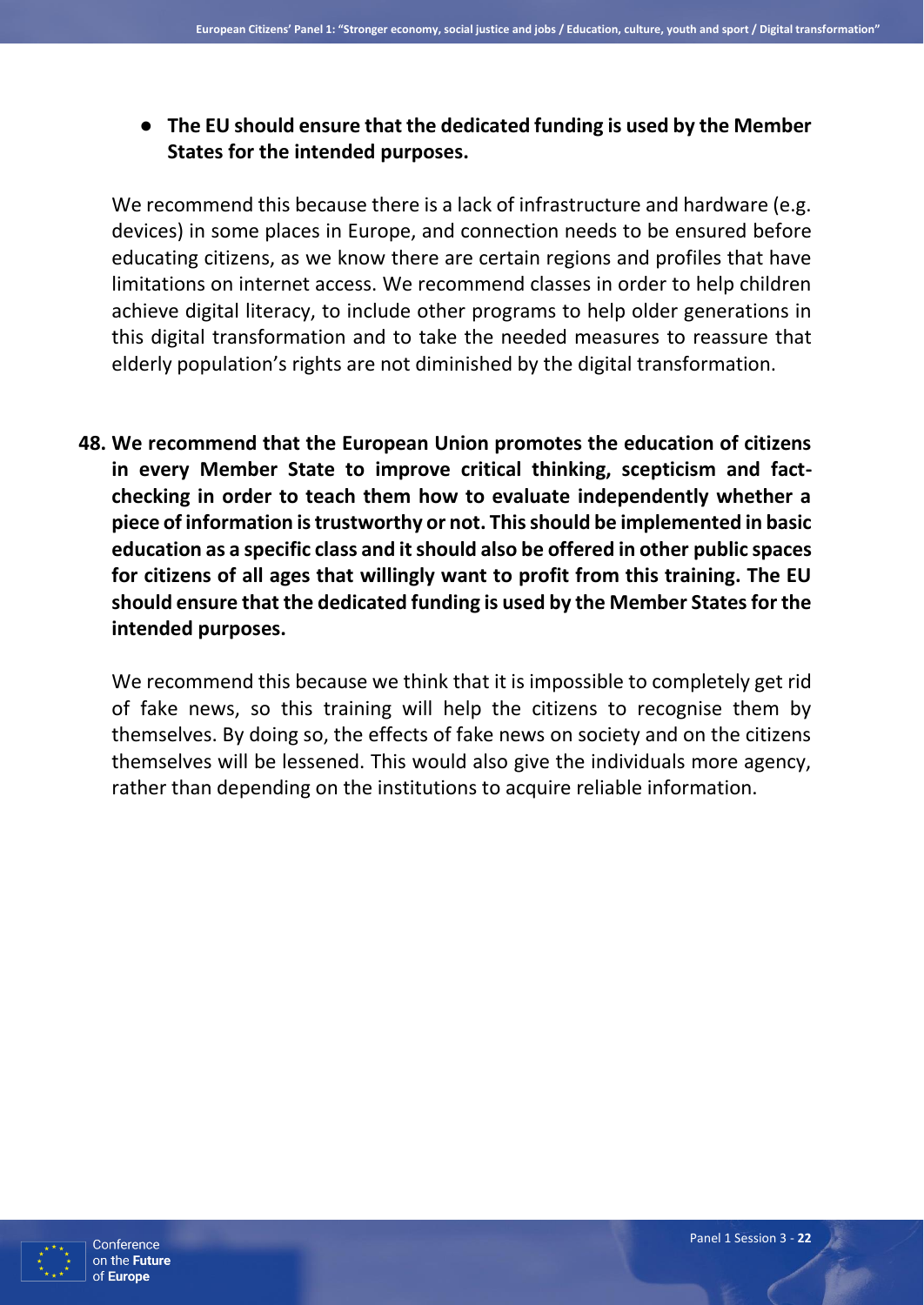● **The EU should ensure that the dedicated funding is used by the Member States for the intended purposes.**

We recommend this because there is a lack of infrastructure and hardware (e.g. devices) in some places in Europe, and connection needs to be ensured before educating citizens, as we know there are certain regions and profiles that have limitations on internet access. We recommend classes in order to help children achieve digital literacy, to include other programs to help older generations in this digital transformation and to take the needed measures to reassure that elderly population's rights are not diminished by the digital transformation.

**48. We recommend that the European Union promotes the education of citizens in every Member State to improve critical thinking, scepticism and factchecking in order to teach them how to evaluate independently whether a piece of information is trustworthy or not. This should be implemented in basic education as a specific class and it should also be offered in other public spaces for citizens of all ages that willingly want to profit from this training. The EU should ensure that the dedicated funding is used by the Member States for the intended purposes.**

We recommend this because we think that it is impossible to completely get rid of fake news, so this training will help the citizens to recognise them by themselves. By doing so, the effects of fake news on society and on the citizens themselves will be lessened. This would also give the individuals more agency, rather than depending on the institutions to acquire reliable information.